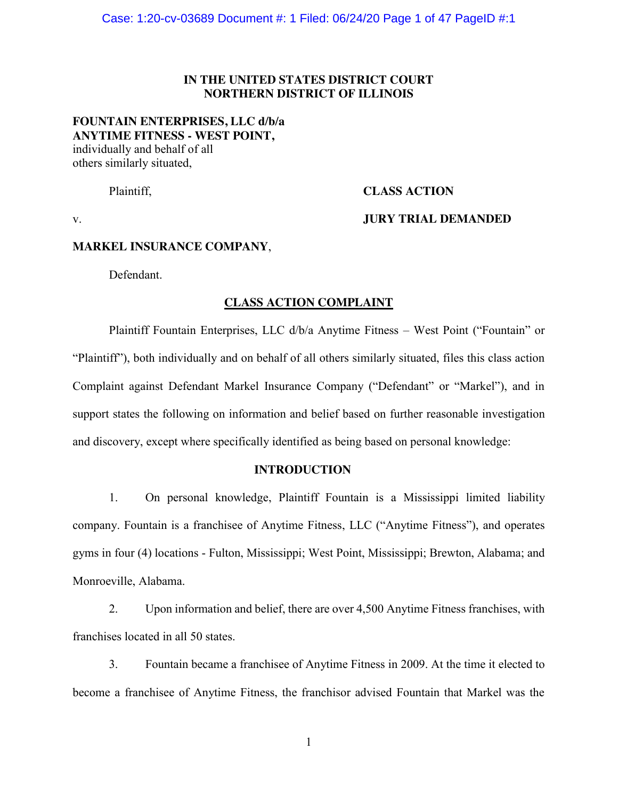### **IN THE UNITED STATES DISTRICT COURT NORTHERN DISTRICT OF ILLINOIS**

### **FOUNTAIN ENTERPRISES, LLC d/b/a ANYTIME FITNESS - WEST POINT,** individually and behalf of all

others similarly situated,

# Plaintiff, **CLASS ACTION**

### v. **JURY TRIAL DEMANDED**

### **MARKEL INSURANCE COMPANY**,

Defendant.

### **CLASS ACTION COMPLAINT**

Plaintiff Fountain Enterprises, LLC d/b/a Anytime Fitness – West Point ("Fountain" or "Plaintiff"), both individually and on behalf of all others similarly situated, files this class action Complaint against Defendant Markel Insurance Company ("Defendant" or "Markel"), and in support states the following on information and belief based on further reasonable investigation and discovery, except where specifically identified as being based on personal knowledge:

### **INTRODUCTION**

1. On personal knowledge, Plaintiff Fountain is a Mississippi limited liability company. Fountain is a franchisee of Anytime Fitness, LLC ("Anytime Fitness"), and operates gyms in four (4) locations - Fulton, Mississippi; West Point, Mississippi; Brewton, Alabama; and Monroeville, Alabama.

2. Upon information and belief, there are over 4,500 Anytime Fitness franchises, with franchises located in all 50 states.

3. Fountain became a franchisee of Anytime Fitness in 2009. At the time it elected to become a franchisee of Anytime Fitness, the franchisor advised Fountain that Markel was the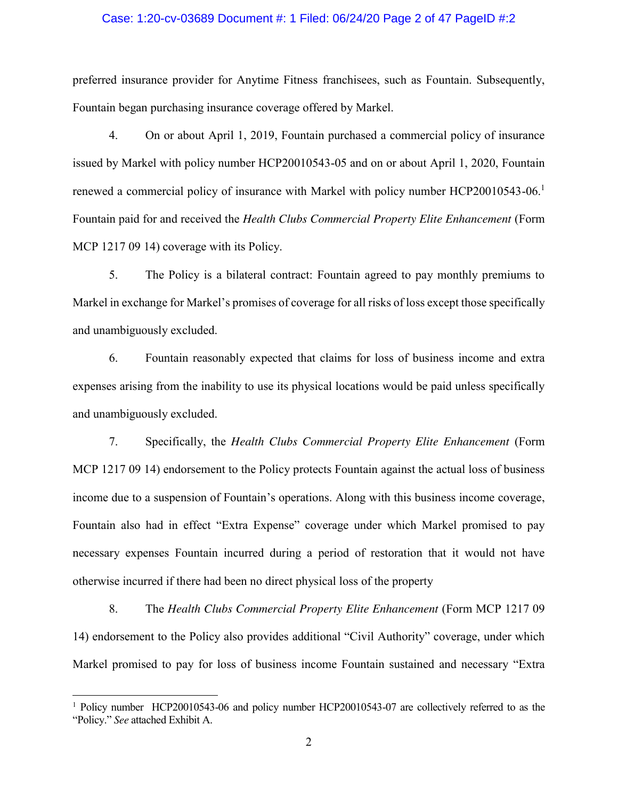#### Case: 1:20-cv-03689 Document #: 1 Filed: 06/24/20 Page 2 of 47 PageID #:2

preferred insurance provider for Anytime Fitness franchisees, such as Fountain. Subsequently, Fountain began purchasing insurance coverage offered by Markel.

4. On or about April 1, 2019, Fountain purchased a commercial policy of insurance issued by Markel with policy number HCP20010543-05 and on or about April 1, 2020, Fountain renewed a commercial policy of insurance with Markel with policy number HCP20010543-06. 1 Fountain paid for and received the *Health Clubs Commercial Property Elite Enhancement* (Form MCP 1217 09 14) coverage with its Policy.

5. The Policy is a bilateral contract: Fountain agreed to pay monthly premiums to Markel in exchange for Markel's promises of coverage for all risks of loss except those specifically and unambiguously excluded.

6. Fountain reasonably expected that claims for loss of business income and extra expenses arising from the inability to use its physical locations would be paid unless specifically and unambiguously excluded.

7. Specifically, the *Health Clubs Commercial Property Elite Enhancement* (Form MCP 1217 09 14) endorsement to the Policy protects Fountain against the actual loss of business income due to a suspension of Fountain's operations. Along with this business income coverage, Fountain also had in effect "Extra Expense" coverage under which Markel promised to pay necessary expenses Fountain incurred during a period of restoration that it would not have otherwise incurred if there had been no direct physical loss of the property

8. The *Health Clubs Commercial Property Elite Enhancement* (Form MCP 1217 09 14) endorsement to the Policy also provides additional "Civil Authority" coverage, under which Markel promised to pay for loss of business income Fountain sustained and necessary "Extra

 $\overline{a}$ 

<sup>&</sup>lt;sup>1</sup> Policy number HCP20010543-06 and policy number HCP20010543-07 are collectively referred to as the "Policy." *See* attached Exhibit A.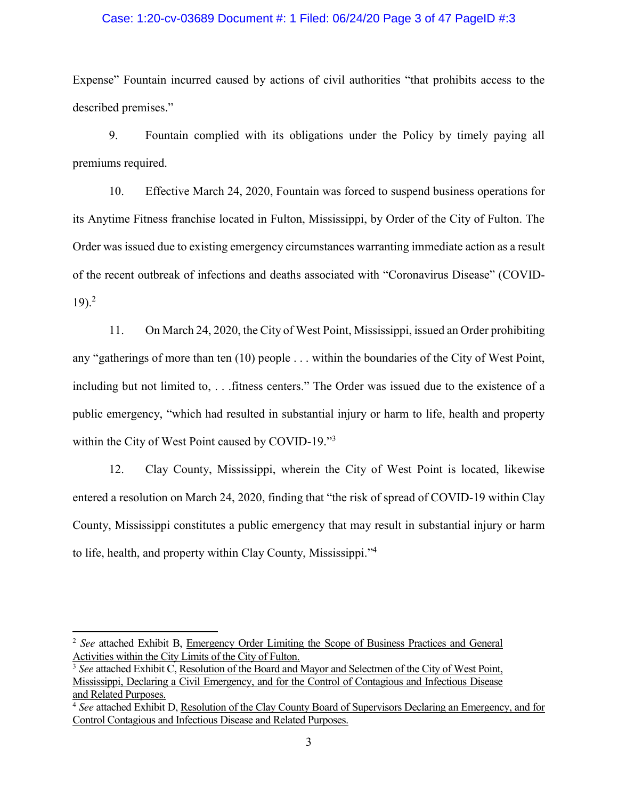#### Case: 1:20-cv-03689 Document #: 1 Filed: 06/24/20 Page 3 of 47 PageID #:3

Expense" Fountain incurred caused by actions of civil authorities "that prohibits access to the described premises."

9. Fountain complied with its obligations under the Policy by timely paying all premiums required.

10. Effective March 24, 2020, Fountain was forced to suspend business operations for its Anytime Fitness franchise located in Fulton, Mississippi, by Order of the City of Fulton. The Order was issued due to existing emergency circumstances warranting immediate action as a result of the recent outbreak of infections and deaths associated with "Coronavirus Disease" (COVID- $19)$ <sup>2</sup>

11. On March 24, 2020, the City of West Point, Mississippi, issued an Order prohibiting any "gatherings of more than ten (10) people . . . within the boundaries of the City of West Point, including but not limited to, . . .fitness centers." The Order was issued due to the existence of a public emergency, "which had resulted in substantial injury or harm to life, health and property within the City of West Point caused by COVID-19."<sup>3</sup>

12. Clay County, Mississippi, wherein the City of West Point is located, likewise entered a resolution on March 24, 2020, finding that "the risk of spread of COVID-19 within Clay County, Mississippi constitutes a public emergency that may result in substantial injury or harm to life, health, and property within Clay County, Mississippi."<sup>4</sup>

 $\overline{\phantom{a}}$ 

<sup>2</sup> *See* attached Exhibit B, Emergency Order Limiting the Scope of Business Practices and General Activities within the City Limits of the City of Fulton.

<sup>3</sup> *See* attached Exhibit C, Resolution of the Board and Mayor and Selectmen of the City of West Point, Mississippi, Declaring a Civil Emergency, and for the Control of Contagious and Infectious Disease and Related Purposes.

<sup>4</sup> *See* attached Exhibit D, Resolution of the Clay County Board of Supervisors Declaring an Emergency, and for Control Contagious and Infectious Disease and Related Purposes.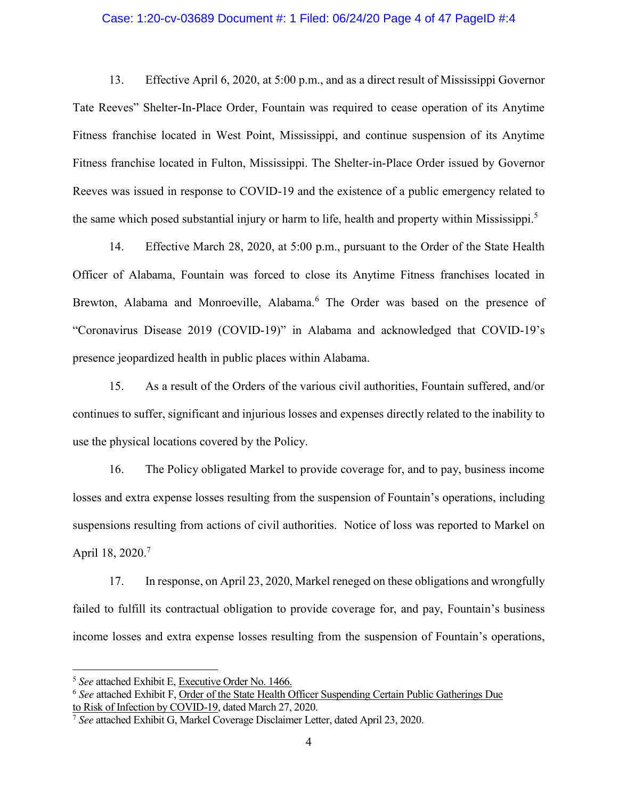#### Case: 1:20-cv-03689 Document #: 1 Filed: 06/24/20 Page 4 of 47 PageID #:4

13. Effective April 6, 2020, at 5:00 p.m., and as a direct result of Mississippi Governor Tate Reeves" Shelter-In-Place Order, Fountain was required to cease operation of its Anytime Fitness franchise located in West Point, Mississippi, and continue suspension of its Anytime Fitness franchise located in Fulton, Mississippi. The Shelter-in-Place Order issued by Governor Reeves was issued in response to COVID-19 and the existence of a public emergency related to the same which posed substantial injury or harm to life, health and property within Mississippi.<sup>5</sup>

14. Effective March 28, 2020, at 5:00 p.m., pursuant to the Order of the State Health Officer of Alabama, Fountain was forced to close its Anytime Fitness franchises located in Brewton, Alabama and Monroeville, Alabama.<sup>6</sup> The Order was based on the presence of "Coronavirus Disease 2019 (COVID-19)" in Alabama and acknowledged that COVID-19's presence jeopardized health in public places within Alabama.

15. As a result of the Orders of the various civil authorities, Fountain suffered, and/or continues to suffer, significant and injurious losses and expenses directly related to the inability to use the physical locations covered by the Policy.

16. The Policy obligated Markel to provide coverage for, and to pay, business income losses and extra expense losses resulting from the suspension of Fountain's operations, including suspensions resulting from actions of civil authorities. Notice of loss was reported to Markel on April 18, 2020.<sup>7</sup>

17. In response, on April 23, 2020, Markel reneged on these obligations and wrongfully failed to fulfill its contractual obligation to provide coverage for, and pay, Fountain's business income losses and extra expense losses resulting from the suspension of Fountain's operations,

 $\overline{\phantom{a}}$ 

<sup>5</sup> *See* attached Exhibit E, Executive Order No. 1466.

<sup>6</sup> *See* attached Exhibit F, Order of the State Health Officer Suspending Certain Public Gatherings Due to Risk of Infection by COVID-19, dated March 27, 2020.

<sup>7</sup> *See* attached Exhibit G, Markel Coverage Disclaimer Letter, dated April 23, 2020.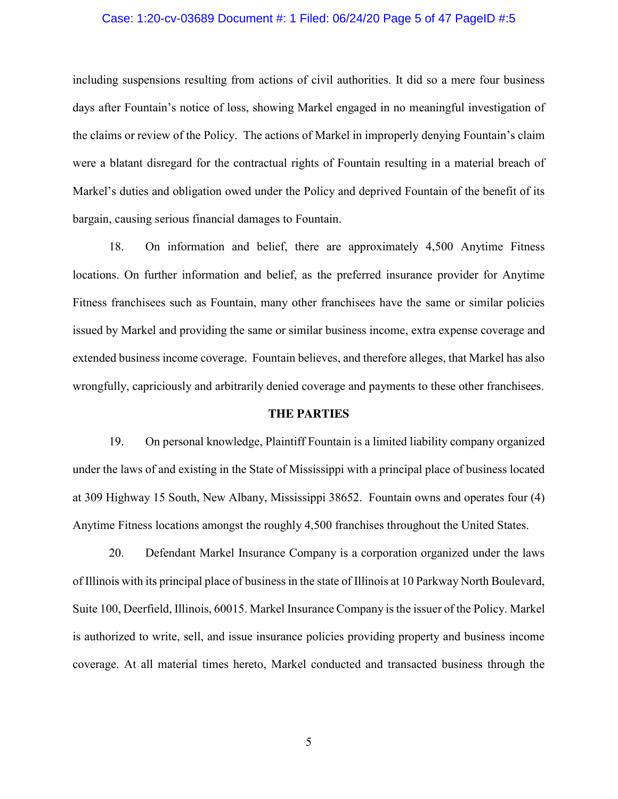#### Case: 1:20-cv-03689 Document #: 1 Filed: 06/24/20 Page 5 of 47 PageID #:5

including suspensions resulting from actions of civil authorities. It did so a mere four business days after Fountain's notice of loss, showing Markel engaged in no meaningful investigation of the claims or review of the Policy. The actions of Markel in improperly denying Fountain's claim were a blatant disregard for the contractual rights of Fountain resulting in a material breach of Markel's duties and obligation owed under the Policy and deprived Fountain of the benefit of its bargain, causing serious financial damages to Fountain.

18. On information and belief, there are approximately 4,500 Anytime Fitness locations. On further information and belief, as the preferred insurance provider for Anytime Fitness franchisees such as Fountain, many other franchisees have the same or similar policies issued by Markel and providing the same or similar business income, extra expense coverage and extended business income coverage. Fountain believes, and therefore alleges, that Markel has also wrongfully, capriciously and arbitrarily denied coverage and payments to these other franchisees.

#### **THE PARTIES**

19. On personal knowledge, Plaintiff Fountain is a limited liability company organized under the laws of and existing in the State of Mississippi with a principal place of business located at 309 Highway 15 South, New Albany, Mississippi 38652. Fountain owns and operates four (4) Anytime Fitness locations amongst the roughly 4,500 franchises throughout the United States.

20. Defendant Markel Insurance Company is a corporation organized under the laws of Illinois with its principal place of business in the state of Illinois at 10 Parkway North Boulevard, Suite 100, Deerfield, Illinois, 60015. Markel Insurance Company is the issuer of the Policy. Markel is authorized to write, sell, and issue insurance policies providing property and business income coverage. At all material times hereto, Markel conducted and transacted business through the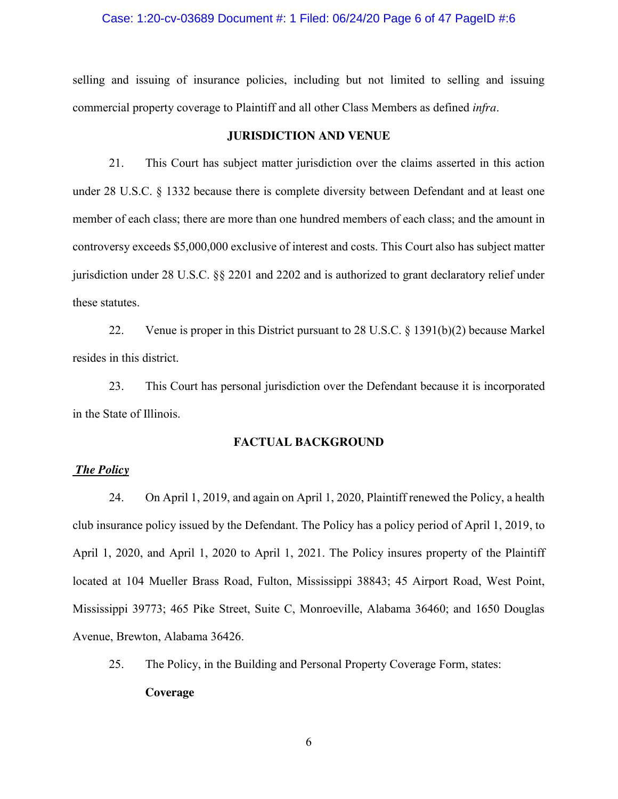#### Case: 1:20-cv-03689 Document #: 1 Filed: 06/24/20 Page 6 of 47 PageID #:6

selling and issuing of insurance policies, including but not limited to selling and issuing commercial property coverage to Plaintiff and all other Class Members as defined *infra*.

### **JURISDICTION AND VENUE**

21. This Court has subject matter jurisdiction over the claims asserted in this action under 28 U.S.C. § 1332 because there is complete diversity between Defendant and at least one member of each class; there are more than one hundred members of each class; and the amount in controversy exceeds \$5,000,000 exclusive of interest and costs. This Court also has subject matter jurisdiction under 28 U.S.C. §§ 2201 and 2202 and is authorized to grant declaratory relief under these statutes.

22. Venue is proper in this District pursuant to 28 U.S.C. § 1391(b)(2) because Markel resides in this district.

23. This Court has personal jurisdiction over the Defendant because it is incorporated in the State of Illinois.

### **FACTUAL BACKGROUND**

#### *The Policy*

24. On April 1, 2019, and again on April 1, 2020, Plaintiff renewed the Policy, a health club insurance policy issued by the Defendant. The Policy has a policy period of April 1, 2019, to April 1, 2020, and April 1, 2020 to April 1, 2021. The Policy insures property of the Plaintiff located at 104 Mueller Brass Road, Fulton, Mississippi 38843; 45 Airport Road, West Point, Mississippi 39773; 465 Pike Street, Suite C, Monroeville, Alabama 36460; and 1650 Douglas Avenue, Brewton, Alabama 36426.

25. The Policy, in the Building and Personal Property Coverage Form, states: **Coverage**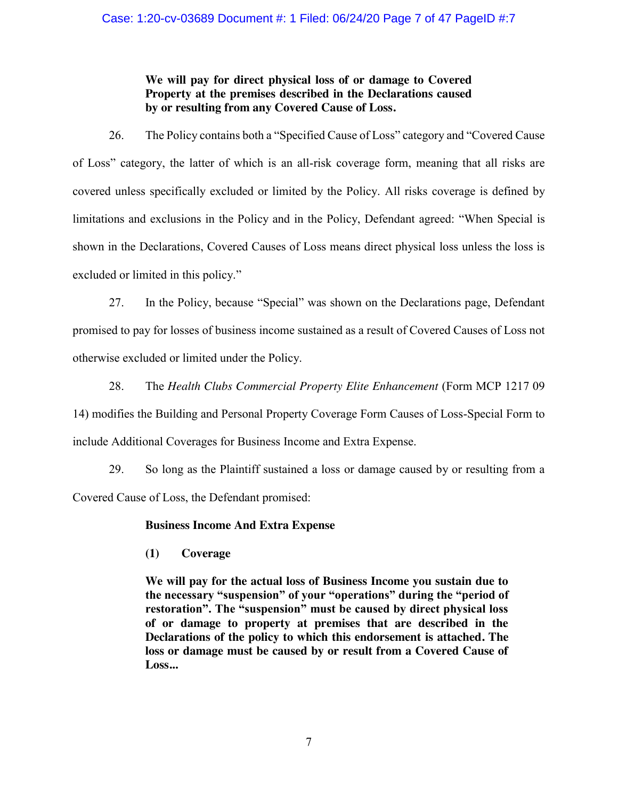### Case: 1:20-cv-03689 Document #: 1 Filed: 06/24/20 Page 7 of 47 PageID #:7

# **We will pay for direct physical loss of or damage to Covered Property at the premises described in the Declarations caused by or resulting from any Covered Cause of Loss.**

26. The Policy contains both a "Specified Cause of Loss" category and "Covered Cause of Loss" category, the latter of which is an all-risk coverage form, meaning that all risks are covered unless specifically excluded or limited by the Policy. All risks coverage is defined by limitations and exclusions in the Policy and in the Policy, Defendant agreed: "When Special is shown in the Declarations, Covered Causes of Loss means direct physical loss unless the loss is excluded or limited in this policy."

27. In the Policy, because "Special" was shown on the Declarations page, Defendant promised to pay for losses of business income sustained as a result of Covered Causes of Loss not otherwise excluded or limited under the Policy.

28. The *Health Clubs Commercial Property Elite Enhancement* (Form MCP 1217 09 14) modifies the Building and Personal Property Coverage Form Causes of Loss-Special Form to include Additional Coverages for Business Income and Extra Expense.

29. So long as the Plaintiff sustained a loss or damage caused by or resulting from a Covered Cause of Loss, the Defendant promised:

# **Business Income And Extra Expense**

**(1) Coverage**

**We will pay for the actual loss of Business Income you sustain due to the necessary "suspension" of your "operations" during the "period of restoration". The "suspension" must be caused by direct physical loss of or damage to property at premises that are described in the Declarations of the policy to which this endorsement is attached. The loss or damage must be caused by or result from a Covered Cause of Loss...**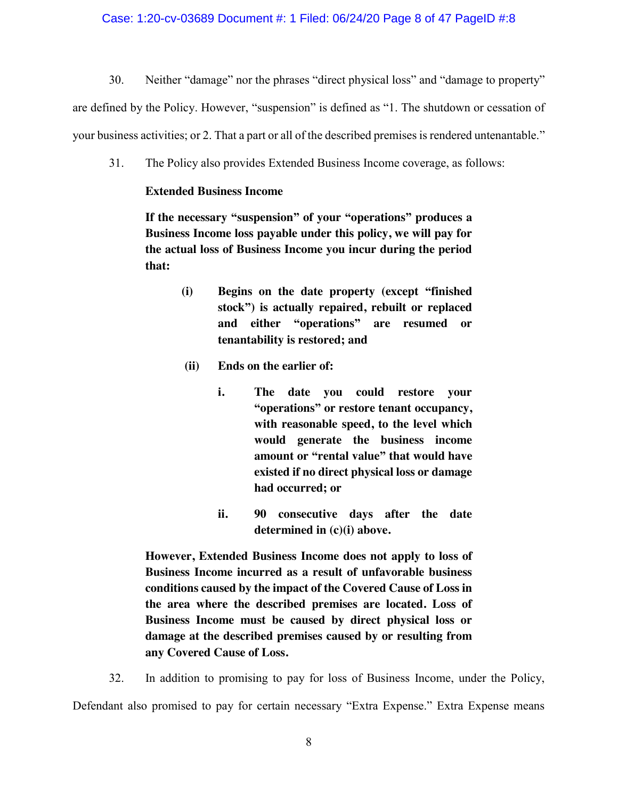### Case: 1:20-cv-03689 Document #: 1 Filed: 06/24/20 Page 8 of 47 PageID #:8

30. Neither "damage" nor the phrases "direct physical loss" and "damage to property"

are defined by the Policy. However, "suspension" is defined as "1. The shutdown or cessation of your business activities; or 2. That a part or all of the described premises is rendered untenantable."

31. The Policy also provides Extended Business Income coverage, as follows:

### **Extended Business Income**

**If the necessary "suspension" of your "operations" produces a Business Income loss payable under this policy, we will pay for the actual loss of Business Income you incur during the period that:** 

- **(i) Begins on the date property (except "finished stock") is actually repaired, rebuilt or replaced and either "operations" are resumed or tenantability is restored; and**
- **(ii) Ends on the earlier of:** 
	- **i. The date you could restore your "operations" or restore tenant occupancy, with reasonable speed, to the level which would generate the business income amount or "rental value" that would have existed if no direct physical loss or damage had occurred; or**
	- **ii. 90 consecutive days after the date determined in (c)(i) above.**

**However, Extended Business Income does not apply to loss of Business Income incurred as a result of unfavorable business conditions caused by the impact of the Covered Cause of Loss in the area where the described premises are located. Loss of Business Income must be caused by direct physical loss or damage at the described premises caused by or resulting from any Covered Cause of Loss.** 

32. In addition to promising to pay for loss of Business Income, under the Policy, Defendant also promised to pay for certain necessary "Extra Expense." Extra Expense means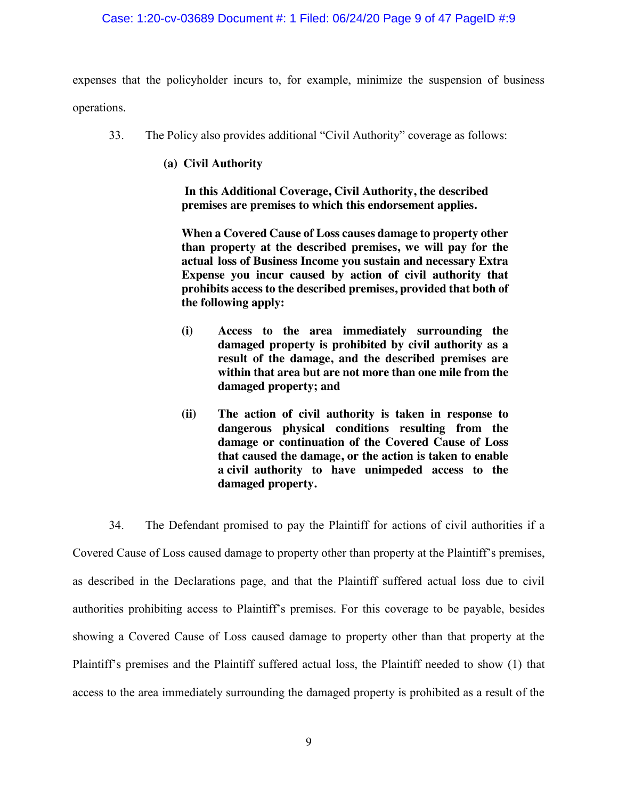### Case: 1:20-cv-03689 Document #: 1 Filed: 06/24/20 Page 9 of 47 PageID #:9

expenses that the policyholder incurs to, for example, minimize the suspension of business operations.

- 33. The Policy also provides additional "Civil Authority" coverage as follows:
	- **(a) Civil Authority**

 **In this Additional Coverage, Civil Authority, the described premises are premises to which this endorsement applies.**

**When a Covered Cause of Loss causes damage to property other than property at the described premises, we will pay for the actual loss of Business Income you sustain and necessary Extra Expense you incur caused by action of civil authority that prohibits access to the described premises, provided that both of the following apply:**

- **(i) Access to the area immediately surrounding the damaged property is prohibited by civil authority as a result of the damage, and the described premises are within that area but are not more than one mile from the damaged property; and**
- **(ii) The action of civil authority is taken in response to dangerous physical conditions resulting from the damage or continuation of the Covered Cause of Loss that caused the damage, or the action is taken to enable a civil authority to have unimpeded access to the damaged property.**

34. The Defendant promised to pay the Plaintiff for actions of civil authorities if a Covered Cause of Loss caused damage to property other than property at the Plaintiff's premises, as described in the Declarations page, and that the Plaintiff suffered actual loss due to civil authorities prohibiting access to Plaintiff's premises. For this coverage to be payable, besides showing a Covered Cause of Loss caused damage to property other than that property at the Plaintiff's premises and the Plaintiff suffered actual loss, the Plaintiff needed to show (1) that access to the area immediately surrounding the damaged property is prohibited as a result of the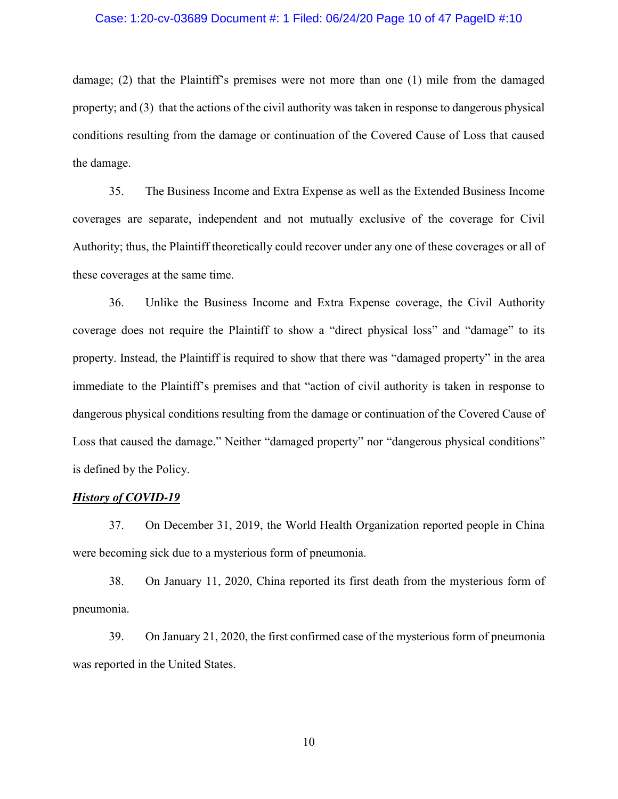#### Case: 1:20-cv-03689 Document #: 1 Filed: 06/24/20 Page 10 of 47 PageID #:10

damage; (2) that the Plaintiff's premises were not more than one (1) mile from the damaged property; and (3) that the actions of the civil authority was taken in response to dangerous physical conditions resulting from the damage or continuation of the Covered Cause of Loss that caused the damage.

35. The Business Income and Extra Expense as well as the Extended Business Income coverages are separate, independent and not mutually exclusive of the coverage for Civil Authority; thus, the Plaintiff theoretically could recover under any one of these coverages or all of these coverages at the same time.

36. Unlike the Business Income and Extra Expense coverage, the Civil Authority coverage does not require the Plaintiff to show a "direct physical loss" and "damage" to its property. Instead, the Plaintiff is required to show that there was "damaged property" in the area immediate to the Plaintiff's premises and that "action of civil authority is taken in response to dangerous physical conditions resulting from the damage or continuation of the Covered Cause of Loss that caused the damage." Neither "damaged property" nor "dangerous physical conditions" is defined by the Policy.

### *History of COVID-19*

37. On December 31, 2019, the World Health Organization reported people in China were becoming sick due to a mysterious form of pneumonia.

38. On January 11, 2020, China reported its first death from the mysterious form of pneumonia.

39. On January 21, 2020, the first confirmed case of the mysterious form of pneumonia was reported in the United States.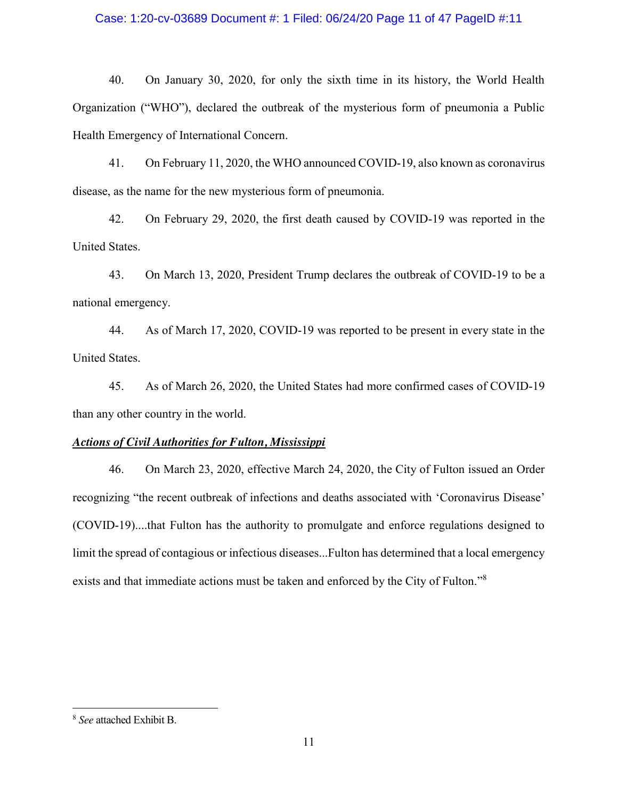### Case: 1:20-cv-03689 Document #: 1 Filed: 06/24/20 Page 11 of 47 PageID #:11

40. On January 30, 2020, for only the sixth time in its history, the World Health Organization ("WHO"), declared the outbreak of the mysterious form of pneumonia a Public Health Emergency of International Concern.

41. On February 11, 2020, the WHO announced COVID-19, also known as coronavirus disease, as the name for the new mysterious form of pneumonia.

42. On February 29, 2020, the first death caused by COVID-19 was reported in the United States.

43. On March 13, 2020, President Trump declares the outbreak of COVID-19 to be a national emergency.

44. As of March 17, 2020, COVID-19 was reported to be present in every state in the United States.

45. As of March 26, 2020, the United States had more confirmed cases of COVID-19 than any other country in the world.

### *Actions of Civil Authorities for Fulton, Mississippi*

46. On March 23, 2020, effective March 24, 2020, the City of Fulton issued an Order recognizing "the recent outbreak of infections and deaths associated with 'Coronavirus Disease' (COVID-19)....that Fulton has the authority to promulgate and enforce regulations designed to limit the spread of contagious or infectious diseases...Fulton has determined that a local emergency exists and that immediate actions must be taken and enforced by the City of Fulton."<sup>8</sup>

 $\overline{a}$ 

<sup>8</sup> *See* attached Exhibit B.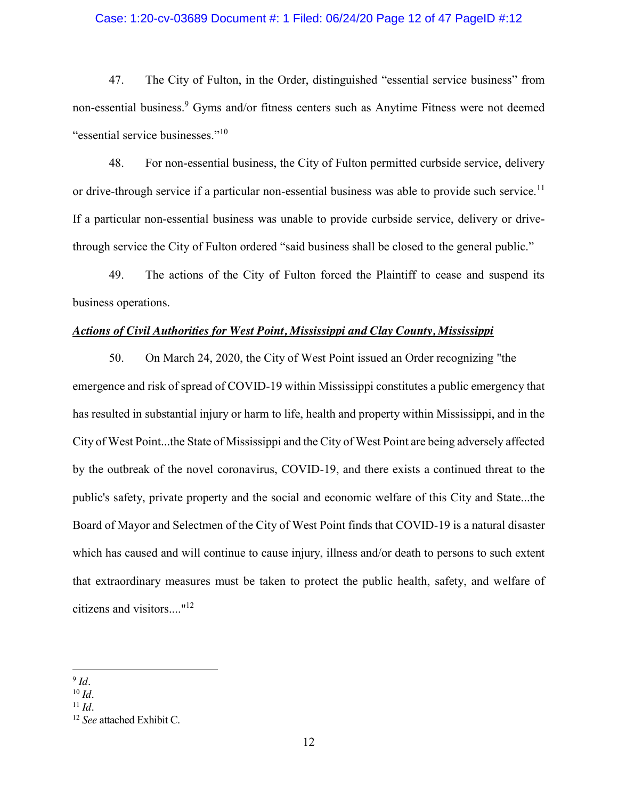#### Case: 1:20-cv-03689 Document #: 1 Filed: 06/24/20 Page 12 of 47 PageID #:12

47. The City of Fulton, in the Order, distinguished "essential service business" from non-essential business.<sup>9</sup> Gyms and/or fitness centers such as Anytime Fitness were not deemed "essential service businesses."<sup>10</sup>

48. For non-essential business, the City of Fulton permitted curbside service, delivery or drive-through service if a particular non-essential business was able to provide such service.<sup>11</sup> If a particular non-essential business was unable to provide curbside service, delivery or drivethrough service the City of Fulton ordered "said business shall be closed to the general public."

49. The actions of the City of Fulton forced the Plaintiff to cease and suspend its business operations.

### *Actions of Civil Authorities for West Point, Mississippi and Clay County, Mississippi*

50. On March 24, 2020, the City of West Point issued an Order recognizing "the emergence and risk of spread of COVID-19 within Mississippi constitutes a public emergency that has resulted in substantial injury or harm to life, health and property within Mississippi, and in the City of West Point...the State of Mississippi and the City of West Point are being adversely affected by the outbreak of the novel coronavirus, COVID-19, and there exists a continued threat to the public's safety, private property and the social and economic welfare of this City and State...the Board of Mayor and Selectmen of the City of West Point finds that COVID-19 is a natural disaster which has caused and will continue to cause injury, illness and/or death to persons to such extent that extraordinary measures must be taken to protect the public health, safety, and welfare of citizens and visitors...."12

 $\overline{\phantom{a}}$  $9$  *Id.* 

<sup>10</sup> *Id.*

 $11$  *Id.* 

<sup>12</sup> *See* attached Exhibit C.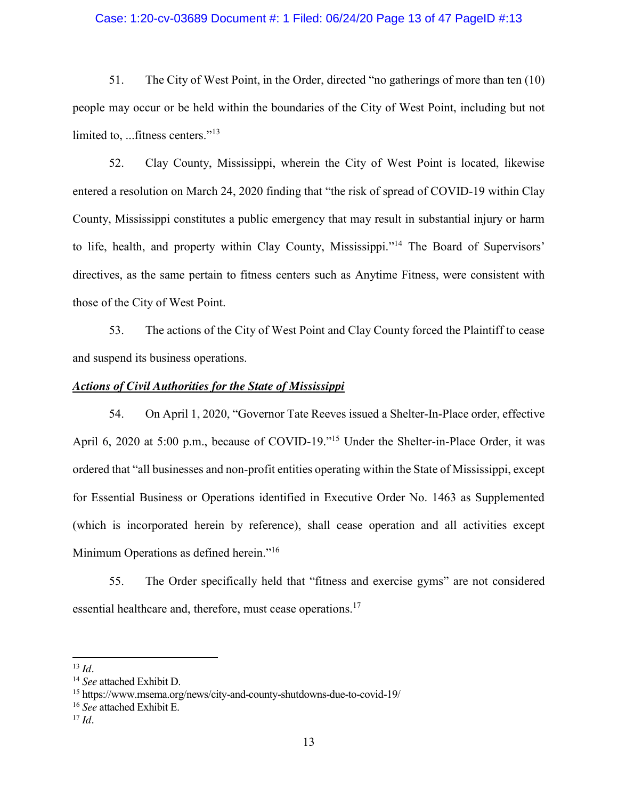#### Case: 1:20-cv-03689 Document #: 1 Filed: 06/24/20 Page 13 of 47 PageID #:13

51. The City of West Point, in the Order, directed "no gatherings of more than ten (10) people may occur or be held within the boundaries of the City of West Point, including but not limited to, ...fitness centers."<sup>13</sup>

52. Clay County, Mississippi, wherein the City of West Point is located, likewise entered a resolution on March 24, 2020 finding that "the risk of spread of COVID-19 within Clay County, Mississippi constitutes a public emergency that may result in substantial injury or harm to life, health, and property within Clay County, Mississippi."<sup>14</sup> The Board of Supervisors' directives, as the same pertain to fitness centers such as Anytime Fitness, were consistent with those of the City of West Point.

53. The actions of the City of West Point and Clay County forced the Plaintiff to cease and suspend its business operations.

#### *Actions of Civil Authorities for the State of Mississippi*

54. On April 1, 2020, "Governor Tate Reeves issued a Shelter-In-Place order, effective April 6, 2020 at 5:00 p.m., because of COVID-19."<sup>15</sup> Under the Shelter-in-Place Order, it was ordered that "all businesses and non-profit entities operating within the State of Mississippi, except for Essential Business or Operations identified in Executive Order No. 1463 as Supplemented (which is incorporated herein by reference), shall cease operation and all activities except Minimum Operations as defined herein."<sup>16</sup>

55. The Order specifically held that "fitness and exercise gyms" are not considered essential healthcare and, therefore, must cease operations.<sup>17</sup>

 $\overline{\phantom{a}}$ 

<sup>13</sup> *Id.*

<sup>14</sup> *See* attached Exhibit D.

<sup>15</sup> https://www.msema.org/news/city-and-county-shutdowns-due-to-covid-19/

<sup>16</sup> *See* attached Exhibit E.

<sup>17</sup> *Id.*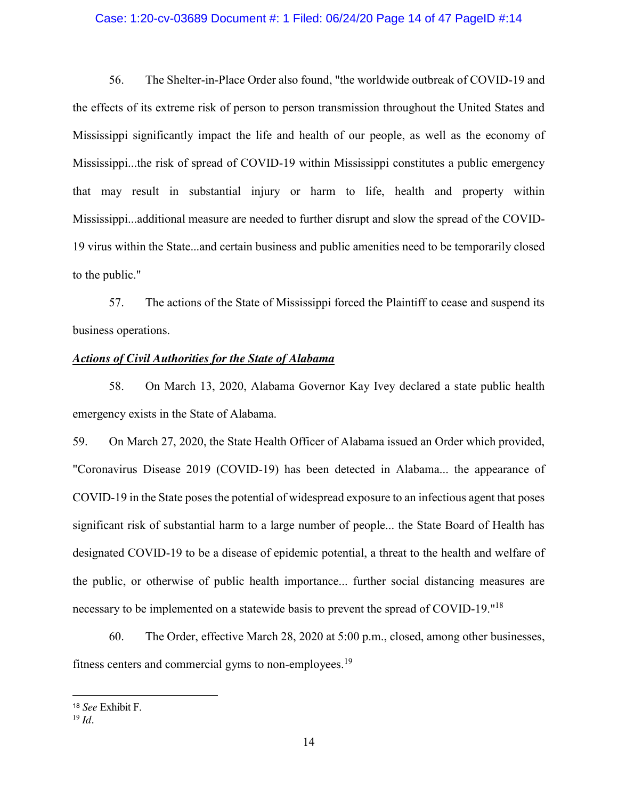#### Case: 1:20-cv-03689 Document #: 1 Filed: 06/24/20 Page 14 of 47 PageID #:14

56. The Shelter-in-Place Order also found, "the worldwide outbreak of COVID-19 and the effects of its extreme risk of person to person transmission throughout the United States and Mississippi significantly impact the life and health of our people, as well as the economy of Mississippi...the risk of spread of COVID-19 within Mississippi constitutes a public emergency that may result in substantial injury or harm to life, health and property within Mississippi...additional measure are needed to further disrupt and slow the spread of the COVID-19 virus within the State...and certain business and public amenities need to be temporarily closed to the public."

57. The actions of the State of Mississippi forced the Plaintiff to cease and suspend its business operations.

#### *Actions of Civil Authorities for the State of Alabama*

58. On March 13, 2020, Alabama Governor Kay Ivey declared a state public health emergency exists in the State of Alabama.

59. On March 27, 2020, the State Health Officer of Alabama issued an Order which provided, "Coronavirus Disease 2019 (COVID-19) has been detected in Alabama... the appearance of COVID-19 in the State poses the potential of widespread exposure to an infectious agent that poses significant risk of substantial harm to a large number of people... the State Board of Health has designated COVID-19 to be a disease of epidemic potential, a threat to the health and welfare of the public, or otherwise of public health importance... further social distancing measures are necessary to be implemented on a statewide basis to prevent the spread of COVID-19."<sup>18</sup>

60. The Order, effective March 28, 2020 at 5:00 p.m., closed, among other businesses, fitness centers and commercial gyms to non-employees.<sup>19</sup>

 $\overline{a}$ 

<sup>18</sup> *See* Exhibit F.

<sup>19</sup> *Id.*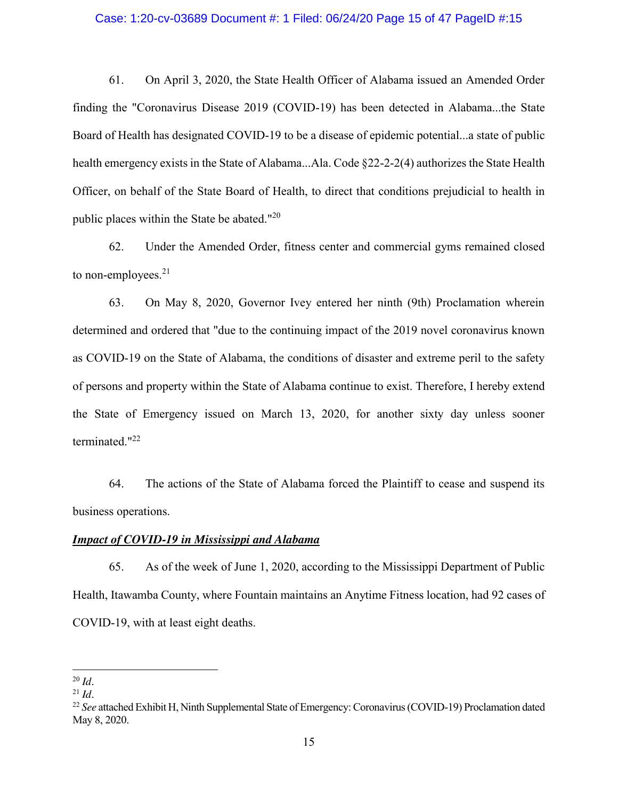#### Case: 1:20-cv-03689 Document #: 1 Filed: 06/24/20 Page 15 of 47 PageID #:15

61. On April 3, 2020, the State Health Officer of Alabama issued an Amended Order finding the "Coronavirus Disease 2019 (COVID-19) has been detected in Alabama...the State Board of Health has designated COVID-19 to be a disease of epidemic potential...a state of public health emergency exists in the State of Alabama...Ala. Code §22-2-2(4) authorizes the State Health Officer, on behalf of the State Board of Health, to direct that conditions prejudicial to health in public places within the State be abated."<sup>20</sup>

62. Under the Amended Order, fitness center and commercial gyms remained closed to non-employees.<sup>21</sup>

63. On May 8, 2020, Governor Ivey entered her ninth (9th) Proclamation wherein determined and ordered that "due to the continuing impact of the 2019 novel coronavirus known as COVID-19 on the State of Alabama, the conditions of disaster and extreme peril to the safety of persons and property within the State of Alabama continue to exist. Therefore, I hereby extend the State of Emergency issued on March 13, 2020, for another sixty day unless sooner terminated."<sup>22</sup>

64. The actions of the State of Alabama forced the Plaintiff to cease and suspend its business operations.

### *Impact of COVID-19 in Mississippi and Alabama*

65. As of the week of June 1, 2020, according to the Mississippi Department of Public Health, Itawamba County, where Fountain maintains an Anytime Fitness location, had 92 cases of COVID-19, with at least eight deaths.

 $\overline{\phantom{a}}$ <sup>20</sup> *Id.*

 $^{21}$  *Id.* 

<sup>22</sup> *See* attached Exhibit H, Ninth Supplemental State of Emergency: Coronavirus (COVID-19) Proclamation dated May 8, 2020.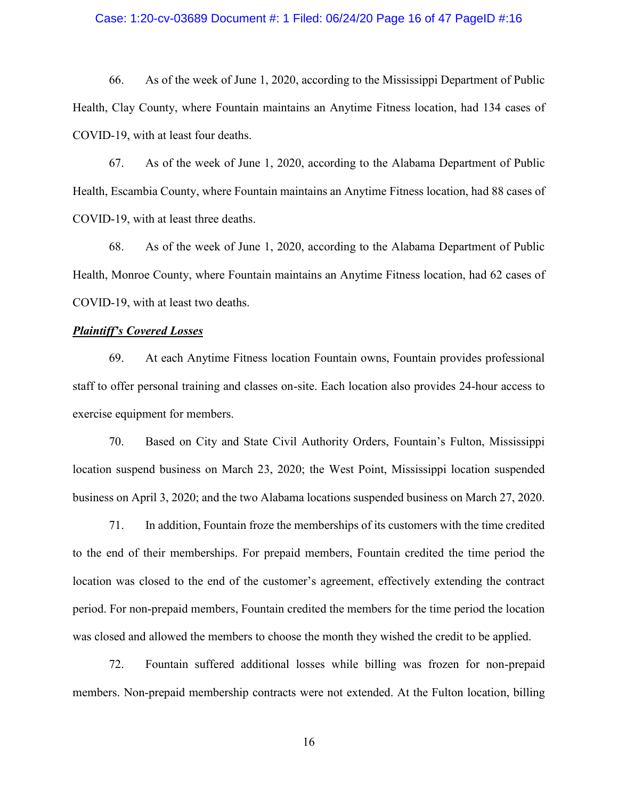#### Case: 1:20-cv-03689 Document #: 1 Filed: 06/24/20 Page 16 of 47 PageID #:16

66. As of the week of June 1, 2020, according to the Mississippi Department of Public Health, Clay County, where Fountain maintains an Anytime Fitness location, had 134 cases of COVID-19, with at least four deaths.

67. As of the week of June 1, 2020, according to the Alabama Department of Public Health, Escambia County, where Fountain maintains an Anytime Fitness location, had 88 cases of COVID-19, with at least three deaths.

68. As of the week of June 1, 2020, according to the Alabama Department of Public Health, Monroe County, where Fountain maintains an Anytime Fitness location, had 62 cases of COVID-19, with at least two deaths.

### *Plaintiff's Covered Losses*

69. At each Anytime Fitness location Fountain owns, Fountain provides professional staff to offer personal training and classes on-site. Each location also provides 24-hour access to exercise equipment for members.

70. Based on City and State Civil Authority Orders, Fountain's Fulton, Mississippi location suspend business on March 23, 2020; the West Point, Mississippi location suspended business on April 3, 2020; and the two Alabama locations suspended business on March 27, 2020.

71. In addition, Fountain froze the memberships of its customers with the time credited to the end of their memberships. For prepaid members, Fountain credited the time period the location was closed to the end of the customer's agreement, effectively extending the contract period. For non-prepaid members, Fountain credited the members for the time period the location was closed and allowed the members to choose the month they wished the credit to be applied.

72. Fountain suffered additional losses while billing was frozen for non-prepaid members. Non-prepaid membership contracts were not extended. At the Fulton location, billing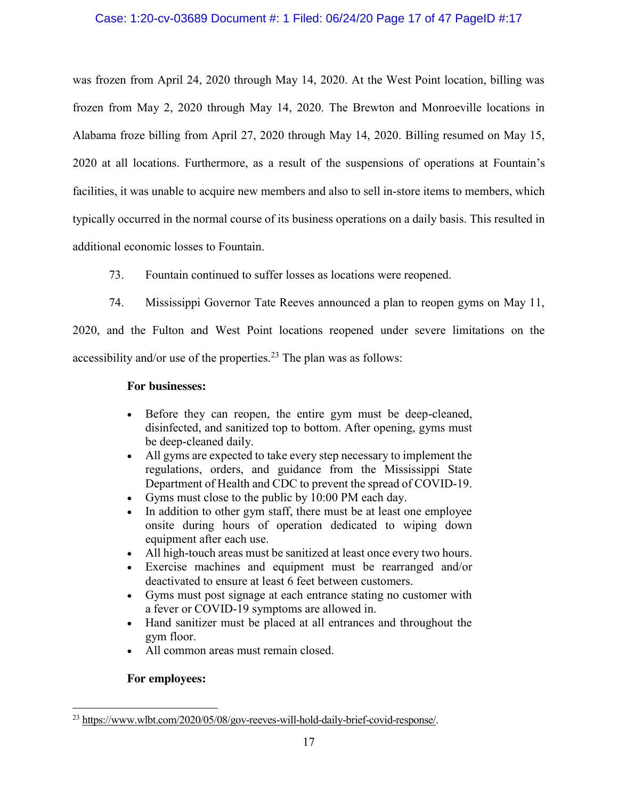### Case: 1:20-cv-03689 Document #: 1 Filed: 06/24/20 Page 17 of 47 PageID #:17

was frozen from April 24, 2020 through May 14, 2020. At the West Point location, billing was frozen from May 2, 2020 through May 14, 2020. The Brewton and Monroeville locations in Alabama froze billing from April 27, 2020 through May 14, 2020. Billing resumed on May 15, 2020 at all locations. Furthermore, as a result of the suspensions of operations at Fountain's facilities, it was unable to acquire new members and also to sell in-store items to members, which typically occurred in the normal course of its business operations on a daily basis. This resulted in additional economic losses to Fountain.

- 73. Fountain continued to suffer losses as locations were reopened.
- 74. Mississippi Governor Tate Reeves announced a plan to reopen gyms on May 11,

2020, and the Fulton and West Point locations reopened under severe limitations on the accessibility and/or use of the properties.<sup>23</sup> The plan was as follows:

### **For businesses:**

- Before they can reopen, the entire gym must be deep-cleaned, disinfected, and sanitized top to bottom. After opening, gyms must be deep-cleaned daily.
- If All gyms are expected to take every step necessary to implement the regulations, orders, and guidance from the Mississippi State Department of Health and CDC to prevent the spread of COVID-19.
- Gyms must close to the public by  $10:00 \text{ PM}$  each day.
- In addition to other gym staff, there must be at least one employee onsite during hours of operation dedicated to wiping down equipment after each use.
- If All high-touch areas must be sanitized at least once every two hours.
- Exercise machines and equipment must be rearranged and/or deactivated to ensure at least 6 feet between customers.
- Gyms must post signage at each entrance stating no customer with a fever or COVID-19 symptoms are allowed in.
- Hand sanitizer must be placed at all entrances and throughout the gym floor.
- All common areas must remain closed.

# **For employees:**

 $\overline{a}$ 

<sup>23</sup> [https://www.wlbt.com/2020/05/08/gov-reeves-will-hold-daily-brief-covid-response/.](https://www.wlbt.com/2020/05/08/gov-reeves-will-hold-daily-brief-covid-response/)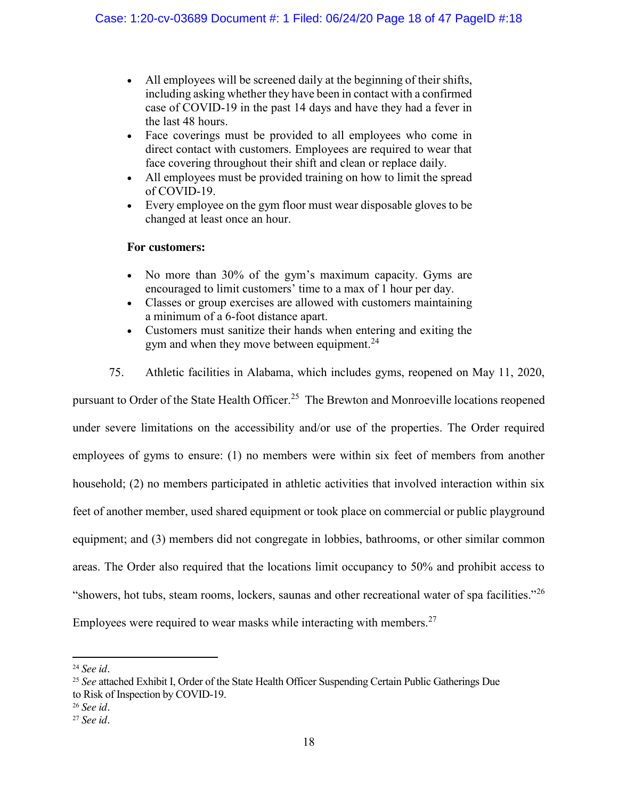- All employees will be screened daily at the beginning of their shifts, including asking whether they have been in contact with a confirmed case of COVID-19 in the past 14 days and have they had a fever in the last 48 hours.
- Face coverings must be provided to all employees who come in direct contact with customers. Employees are required to wear that face covering throughout their shift and clean or replace daily.
- If All employees must be provided training on how to limit the spread of COVID-19.
- Every employee on the gym floor must wear disposable gloves to be changed at least once an hour.

# **For customers:**

- No more than 30% of the gym's maximum capacity. Gyms are encouraged to limit customers' time to a max of 1 hour per day.
- Classes or group exercises are allowed with customers maintaining a minimum of a 6-foot distance apart.
- Customers must sanitize their hands when entering and exiting the gym and when they move between equipment.<sup>24</sup>
- 75. Athletic facilities in Alabama, which includes gyms, reopened on May 11, 2020,

pursuant to Order of the State Health Officer.<sup>25</sup> The Brewton and Monroeville locations reopened under severe limitations on the accessibility and/or use of the properties. The Order required employees of gyms to ensure: (1) no members were within six feet of members from another household; (2) no members participated in athletic activities that involved interaction within six feet of another member, used shared equipment or took place on commercial or public playground equipment; and (3) members did not congregate in lobbies, bathrooms, or other similar common areas. The Order also required that the locations limit occupancy to 50% and prohibit access to "showers, hot tubs, steam rooms, lockers, saunas and other recreational water of spa facilities."<sup>26</sup> Employees were required to wear masks while interacting with members.<sup>27</sup>

 $\overline{\phantom{a}}$ 

<sup>24</sup> *See id.* 

<sup>25</sup> *See* attached Exhibit I, Order of the State Health Officer Suspending Certain Public Gatherings Due

to Risk of Inspection by COVID-19. 26 *See id.* 

<sup>27</sup> *See id.*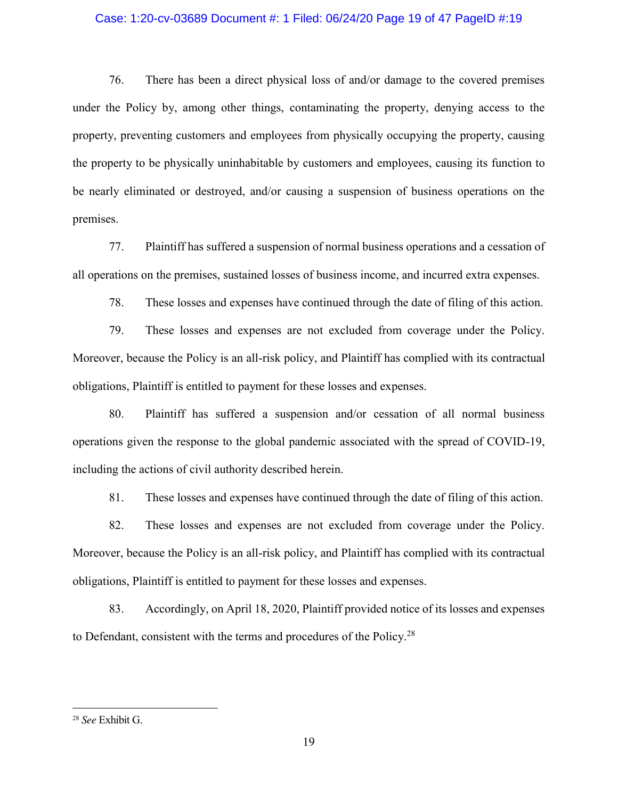#### Case: 1:20-cv-03689 Document #: 1 Filed: 06/24/20 Page 19 of 47 PageID #:19

76. There has been a direct physical loss of and/or damage to the covered premises under the Policy by, among other things, contaminating the property, denying access to the property, preventing customers and employees from physically occupying the property, causing the property to be physically uninhabitable by customers and employees, causing its function to be nearly eliminated or destroyed, and/or causing a suspension of business operations on the premises.

77. Plaintiff has suffered a suspension of normal business operations and a cessation of all operations on the premises, sustained losses of business income, and incurred extra expenses.

78. These losses and expenses have continued through the date of filing of this action.

79. These losses and expenses are not excluded from coverage under the Policy. Moreover, because the Policy is an all-risk policy, and Plaintiff has complied with its contractual obligations, Plaintiff is entitled to payment for these losses and expenses.

80. Plaintiff has suffered a suspension and/or cessation of all normal business operations given the response to the global pandemic associated with the spread of COVID-19, including the actions of civil authority described herein.

81. These losses and expenses have continued through the date of filing of this action.

82. These losses and expenses are not excluded from coverage under the Policy. Moreover, because the Policy is an all-risk policy, and Plaintiff has complied with its contractual obligations, Plaintiff is entitled to payment for these losses and expenses.

83. Accordingly, on April 18, 2020, Plaintiff provided notice of its losses and expenses to Defendant, consistent with the terms and procedures of the Policy.<sup>28</sup>

 $\overline{a}$ 

<sup>28</sup> *See* Exhibit G.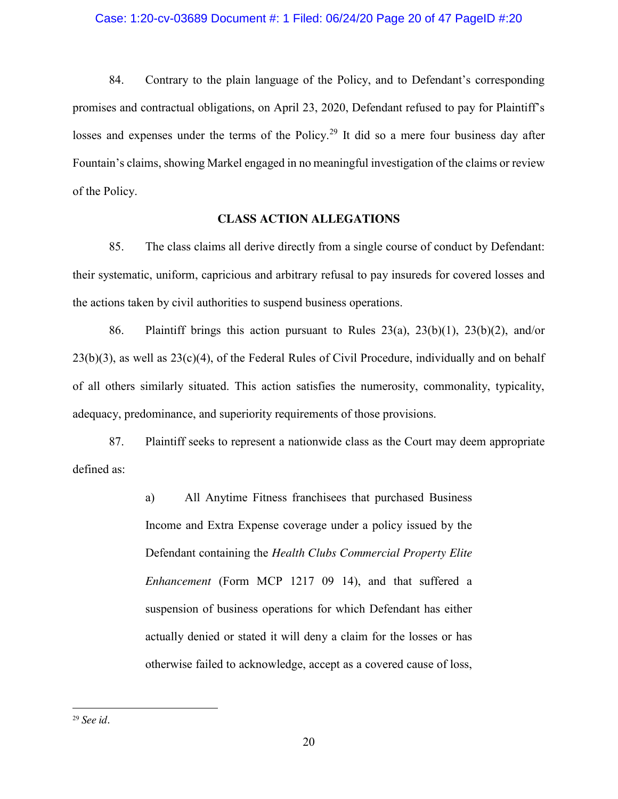84. Contrary to the plain language of the Policy, and to Defendant's corresponding promises and contractual obligations, on April 23, 2020, Defendant refused to pay for Plaintiff's losses and expenses under the terms of the Policy.<sup>29</sup> It did so a mere four business day after Fountain's claims, showing Markel engaged in no meaningful investigation of the claims or review of the Policy.

### **CLASS ACTION ALLEGATIONS**

85. The class claims all derive directly from a single course of conduct by Defendant: their systematic, uniform, capricious and arbitrary refusal to pay insureds for covered losses and the actions taken by civil authorities to suspend business operations.

86. Plaintiff brings this action pursuant to Rules  $23(a)$ ,  $23(b)(1)$ ,  $23(b)(2)$ , and/or 23(b)(3), as well as 23(c)(4), of the Federal Rules of Civil Procedure, individually and on behalf of all others similarly situated. This action satisfies the numerosity, commonality, typicality, adequacy, predominance, and superiority requirements of those provisions.

87. Plaintiff seeks to represent a nationwide class as the Court may deem appropriate defined as:

> a) All Anytime Fitness franchisees that purchased Business Income and Extra Expense coverage under a policy issued by the Defendant containing the *Health Clubs Commercial Property Elite Enhancement* (Form MCP 1217 09 14), and that suffered a suspension of business operations for which Defendant has either actually denied or stated it will deny a claim for the losses or has otherwise failed to acknowledge, accept as a covered cause of loss,

 $\overline{a}$ 

<sup>29</sup> *See id.*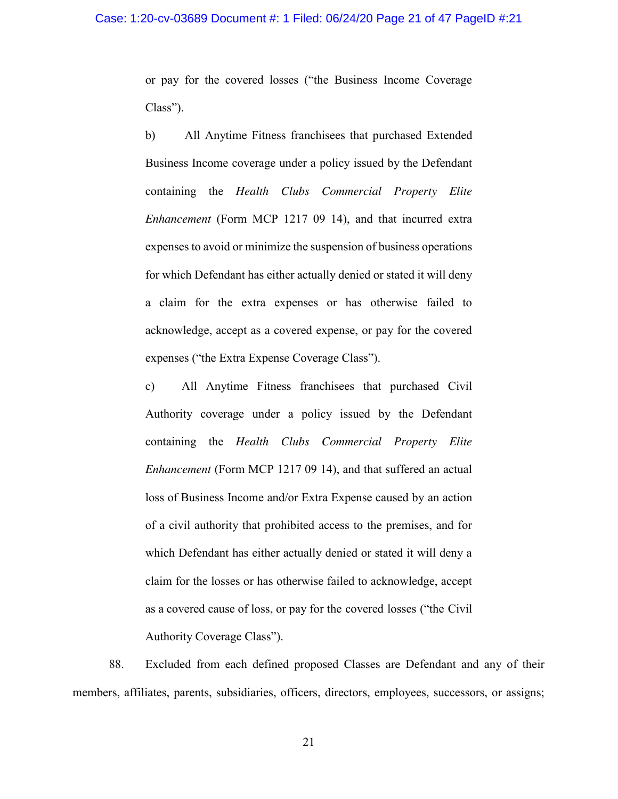or pay for the covered losses ("the Business Income Coverage Class").

b) All Anytime Fitness franchisees that purchased Extended Business Income coverage under a policy issued by the Defendant containing the *Health Clubs Commercial Property Elite Enhancement* (Form MCP 1217 09 14), and that incurred extra expenses to avoid or minimize the suspension of business operations for which Defendant has either actually denied or stated it will deny a claim for the extra expenses or has otherwise failed to acknowledge, accept as a covered expense, or pay for the covered expenses ("the Extra Expense Coverage Class").

c) All Anytime Fitness franchisees that purchased Civil Authority coverage under a policy issued by the Defendant containing the *Health Clubs Commercial Property Elite Enhancement* (Form MCP 1217 09 14), and that suffered an actual loss of Business Income and/or Extra Expense caused by an action of a civil authority that prohibited access to the premises, and for which Defendant has either actually denied or stated it will deny a claim for the losses or has otherwise failed to acknowledge, accept as a covered cause of loss, or pay for the covered losses ("the Civil Authority Coverage Class").

88. Excluded from each defined proposed Classes are Defendant and any of their members, affiliates, parents, subsidiaries, officers, directors, employees, successors, or assigns;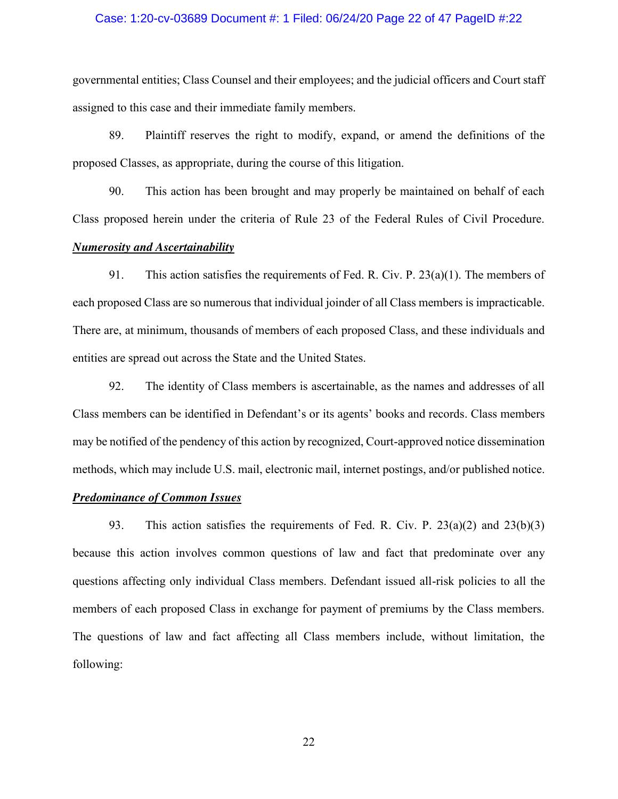#### Case: 1:20-cv-03689 Document #: 1 Filed: 06/24/20 Page 22 of 47 PageID #:22

governmental entities; Class Counsel and their employees; and the judicial officers and Court staff assigned to this case and their immediate family members.

89. Plaintiff reserves the right to modify, expand, or amend the definitions of the proposed Classes, as appropriate, during the course of this litigation.

90. This action has been brought and may properly be maintained on behalf of each Class proposed herein under the criteria of Rule 23 of the Federal Rules of Civil Procedure.

#### *Numerosity and Ascertainability*

91. This action satisfies the requirements of Fed. R. Civ. P.  $23(a)(1)$ . The members of each proposed Class are so numerous that individual joinder of all Class members is impracticable. There are, at minimum, thousands of members of each proposed Class, and these individuals and entities are spread out across the State and the United States.

92. The identity of Class members is ascertainable, as the names and addresses of all Class members can be identified in Defendant's or its agents' books and records. Class members may be notified of the pendency of this action by recognized, Court-approved notice dissemination methods, which may include U.S. mail, electronic mail, internet postings, and/or published notice.

### *Predominance of Common Issues*

93. This action satisfies the requirements of Fed. R. Civ. P. 23(a)(2) and 23(b)(3) because this action involves common questions of law and fact that predominate over any questions affecting only individual Class members. Defendant issued all-risk policies to all the members of each proposed Class in exchange for payment of premiums by the Class members. The questions of law and fact affecting all Class members include, without limitation, the following: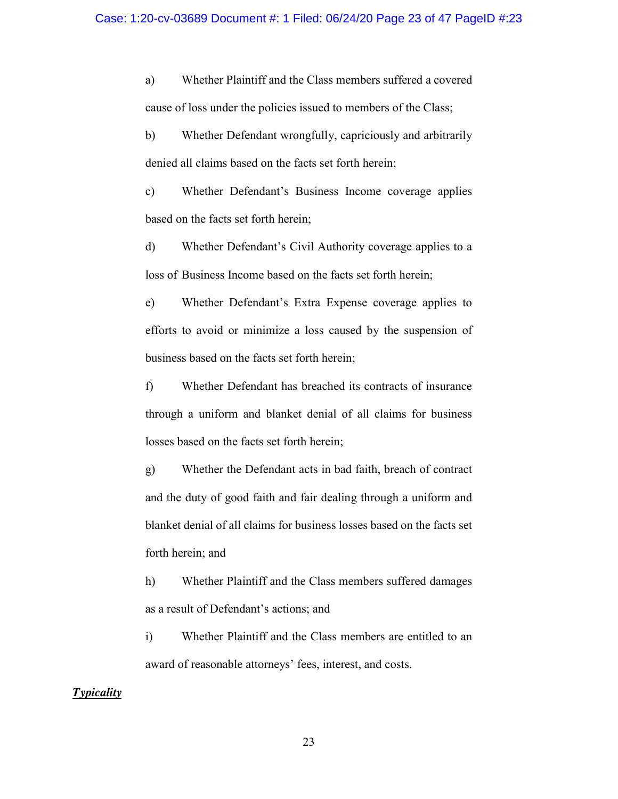a) Whether Plaintiff and the Class members suffered a covered cause of loss under the policies issued to members of the Class;

b) Whether Defendant wrongfully, capriciously and arbitrarily denied all claims based on the facts set forth herein;

c) Whether Defendant's Business Income coverage applies based on the facts set forth herein;

d) Whether Defendant's Civil Authority coverage applies to a loss of Business Income based on the facts set forth herein;

e) Whether Defendant's Extra Expense coverage applies to efforts to avoid or minimize a loss caused by the suspension of business based on the facts set forth herein;

f) Whether Defendant has breached its contracts of insurance through a uniform and blanket denial of all claims for business losses based on the facts set forth herein;

g) Whether the Defendant acts in bad faith, breach of contract and the duty of good faith and fair dealing through a uniform and blanket denial of all claims for business losses based on the facts set forth herein; and

h) Whether Plaintiff and the Class members suffered damages as a result of Defendant's actions; and

i) Whether Plaintiff and the Class members are entitled to an award of reasonable attorneys' fees, interest, and costs.

### *Typicality*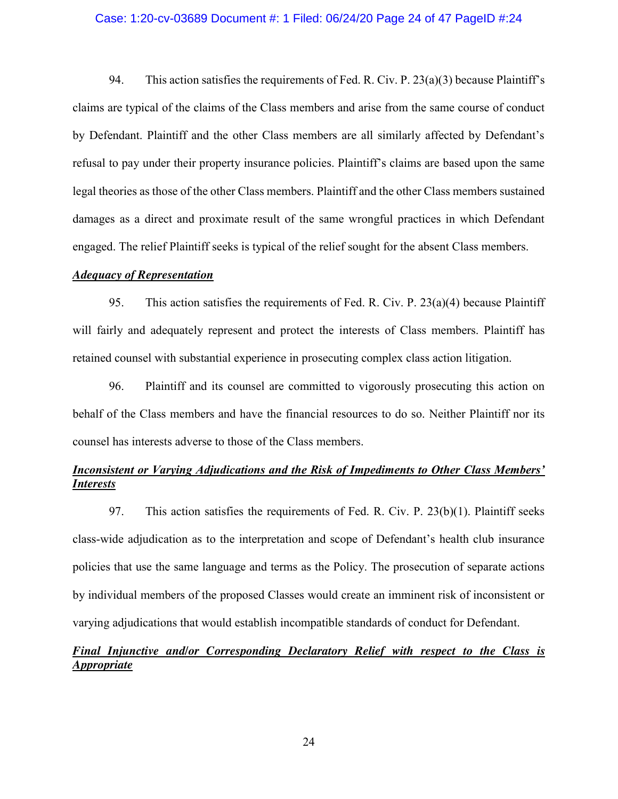#### Case: 1:20-cv-03689 Document #: 1 Filed: 06/24/20 Page 24 of 47 PageID #:24

94. This action satisfies the requirements of Fed. R. Civ. P.  $23(a)(3)$  because Plaintiff's claims are typical of the claims of the Class members and arise from the same course of conduct by Defendant. Plaintiff and the other Class members are all similarly affected by Defendant's refusal to pay under their property insurance policies. Plaintiff's claims are based upon the same legal theories as those of the other Class members. Plaintiff and the other Class members sustained damages as a direct and proximate result of the same wrongful practices in which Defendant engaged. The relief Plaintiff seeks is typical of the relief sought for the absent Class members.

#### *Adequacy of Representation*

95. This action satisfies the requirements of Fed. R. Civ. P. 23(a)(4) because Plaintiff will fairly and adequately represent and protect the interests of Class members. Plaintiff has retained counsel with substantial experience in prosecuting complex class action litigation.

96. Plaintiff and its counsel are committed to vigorously prosecuting this action on behalf of the Class members and have the financial resources to do so. Neither Plaintiff nor its counsel has interests adverse to those of the Class members.

# *Inconsistent or Varying Adjudications and the Risk of Impediments to Other Class Members' Interests*

97. This action satisfies the requirements of Fed. R. Civ. P. 23(b)(1). Plaintiff seeks class-wide adjudication as to the interpretation and scope of Defendant's health club insurance policies that use the same language and terms as the Policy. The prosecution of separate actions by individual members of the proposed Classes would create an imminent risk of inconsistent or varying adjudications that would establish incompatible standards of conduct for Defendant.

# *Final Injunctive and/or Corresponding Declaratory Relief with respect to the Class is Appropriate*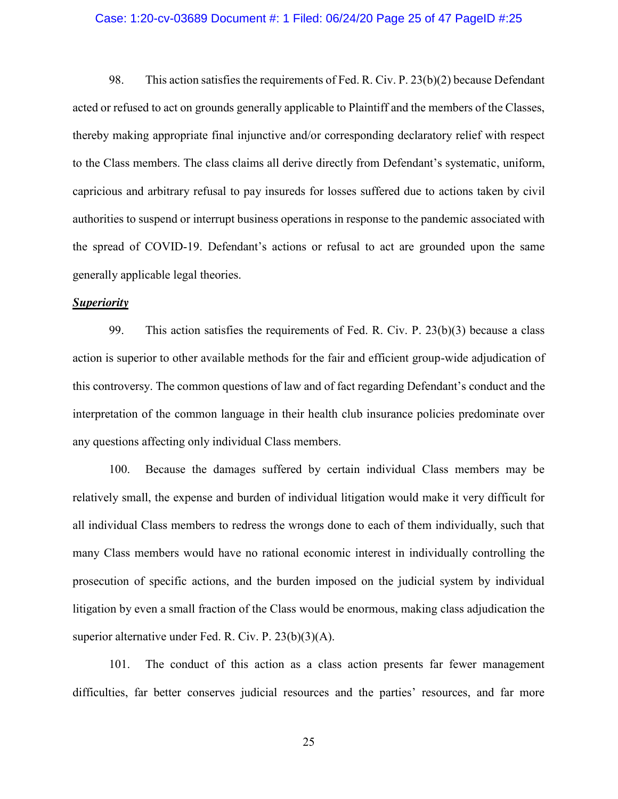#### Case: 1:20-cv-03689 Document #: 1 Filed: 06/24/20 Page 25 of 47 PageID #:25

98. This action satisfies the requirements of Fed. R. Civ. P. 23(b)(2) because Defendant acted or refused to act on grounds generally applicable to Plaintiff and the members of the Classes, thereby making appropriate final injunctive and/or corresponding declaratory relief with respect to the Class members. The class claims all derive directly from Defendant's systematic, uniform, capricious and arbitrary refusal to pay insureds for losses suffered due to actions taken by civil authorities to suspend or interrupt business operations in response to the pandemic associated with the spread of COVID-19. Defendant's actions or refusal to act are grounded upon the same generally applicable legal theories.

### *Superiority*

99. This action satisfies the requirements of Fed. R. Civ. P. 23(b)(3) because a class action is superior to other available methods for the fair and efficient group-wide adjudication of this controversy. The common questions of law and of fact regarding Defendant's conduct and the interpretation of the common language in their health club insurance policies predominate over any questions affecting only individual Class members.

100. Because the damages suffered by certain individual Class members may be relatively small, the expense and burden of individual litigation would make it very difficult for all individual Class members to redress the wrongs done to each of them individually, such that many Class members would have no rational economic interest in individually controlling the prosecution of specific actions, and the burden imposed on the judicial system by individual litigation by even a small fraction of the Class would be enormous, making class adjudication the superior alternative under Fed. R. Civ. P. 23(b)(3)(A).

101. The conduct of this action as a class action presents far fewer management difficulties, far better conserves judicial resources and the parties' resources, and far more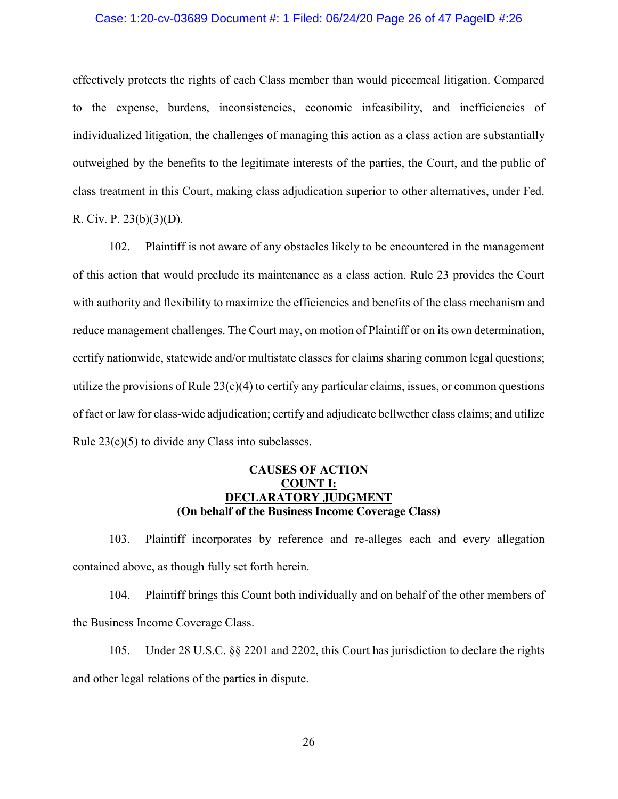#### Case: 1:20-cv-03689 Document #: 1 Filed: 06/24/20 Page 26 of 47 PageID #:26

effectively protects the rights of each Class member than would piecemeal litigation. Compared to the expense, burdens, inconsistencies, economic infeasibility, and inefficiencies of individualized litigation, the challenges of managing this action as a class action are substantially outweighed by the benefits to the legitimate interests of the parties, the Court, and the public of class treatment in this Court, making class adjudication superior to other alternatives, under Fed. R. Civ. P. 23(b)(3)(D).

102. Plaintiff is not aware of any obstacles likely to be encountered in the management of this action that would preclude its maintenance as a class action. Rule 23 provides the Court with authority and flexibility to maximize the efficiencies and benefits of the class mechanism and reduce management challenges. The Court may, on motion of Plaintiff or on its own determination, certify nationwide, statewide and/or multistate classes for claims sharing common legal questions; utilize the provisions of Rule  $23(c)(4)$  to certify any particular claims, issues, or common questions of fact or law for class-wide adjudication; certify and adjudicate bellwether class claims; and utilize Rule 23(c)(5) to divide any Class into subclasses.

### **CAUSES OF ACTION COUNT I: DECLARATORY JUDGMENT (On behalf of the Business Income Coverage Class)**

103. Plaintiff incorporates by reference and re-alleges each and every allegation contained above, as though fully set forth herein.

104. Plaintiff brings this Count both individually and on behalf of the other members of the Business Income Coverage Class.

105. Under 28 U.S.C. §§ 2201 and 2202, this Court has jurisdiction to declare the rights and other legal relations of the parties in dispute.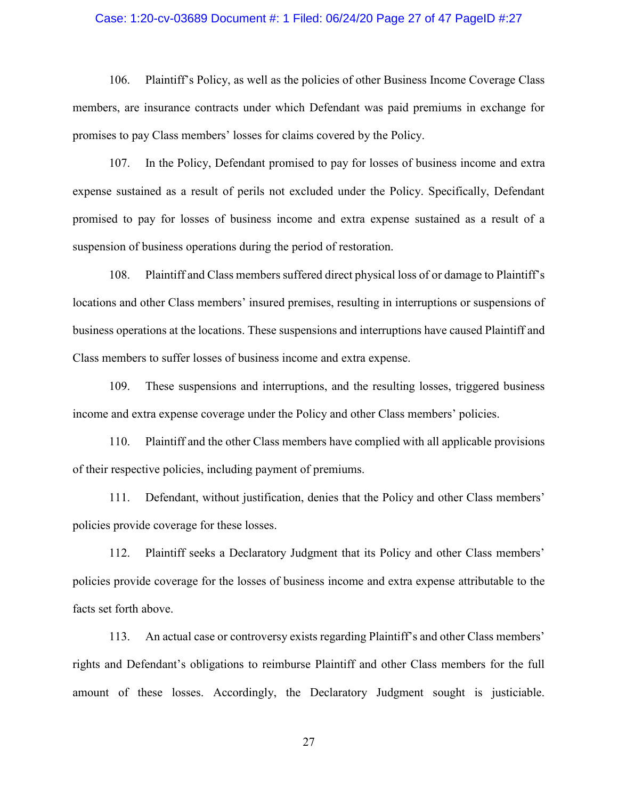#### Case: 1:20-cv-03689 Document #: 1 Filed: 06/24/20 Page 27 of 47 PageID #:27

106. Plaintiff's Policy, as well as the policies of other Business Income Coverage Class members, are insurance contracts under which Defendant was paid premiums in exchange for promises to pay Class members' losses for claims covered by the Policy.

107. In the Policy, Defendant promised to pay for losses of business income and extra expense sustained as a result of perils not excluded under the Policy. Specifically, Defendant promised to pay for losses of business income and extra expense sustained as a result of a suspension of business operations during the period of restoration.

108. Plaintiff and Class members suffered direct physical loss of or damage to Plaintiff's locations and other Class members' insured premises, resulting in interruptions or suspensions of business operations at the locations. These suspensions and interruptions have caused Plaintiff and Class members to suffer losses of business income and extra expense.

109. These suspensions and interruptions, and the resulting losses, triggered business income and extra expense coverage under the Policy and other Class members' policies.

110. Plaintiff and the other Class members have complied with all applicable provisions of their respective policies, including payment of premiums.

111. Defendant, without justification, denies that the Policy and other Class members' policies provide coverage for these losses.

112. Plaintiff seeks a Declaratory Judgment that its Policy and other Class members' policies provide coverage for the losses of business income and extra expense attributable to the facts set forth above.

113. An actual case or controversy exists regarding Plaintiff's and other Class members' rights and Defendant's obligations to reimburse Plaintiff and other Class members for the full amount of these losses. Accordingly, the Declaratory Judgment sought is justiciable.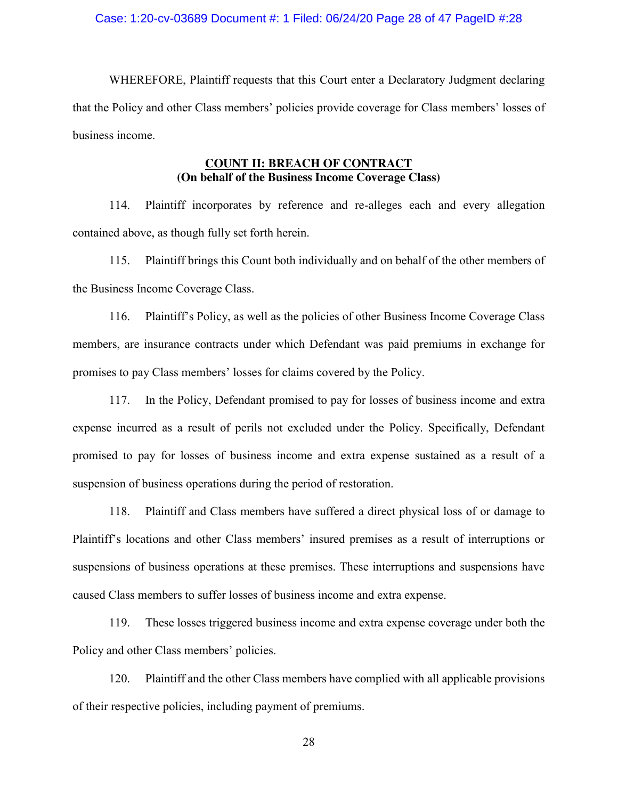#### Case: 1:20-cv-03689 Document #: 1 Filed: 06/24/20 Page 28 of 47 PageID #:28

WHEREFORE, Plaintiff requests that this Court enter a Declaratory Judgment declaring that the Policy and other Class members' policies provide coverage for Class members' losses of business income.

### **COUNT II: BREACH OF CONTRACT (On behalf of the Business Income Coverage Class)**

114. Plaintiff incorporates by reference and re-alleges each and every allegation contained above, as though fully set forth herein.

115. Plaintiff brings this Count both individually and on behalf of the other members of the Business Income Coverage Class.

116. Plaintiff's Policy, as well as the policies of other Business Income Coverage Class members, are insurance contracts under which Defendant was paid premiums in exchange for promises to pay Class members' losses for claims covered by the Policy.

117. In the Policy, Defendant promised to pay for losses of business income and extra expense incurred as a result of perils not excluded under the Policy. Specifically, Defendant promised to pay for losses of business income and extra expense sustained as a result of a suspension of business operations during the period of restoration.

118. Plaintiff and Class members have suffered a direct physical loss of or damage to Plaintiff's locations and other Class members' insured premises as a result of interruptions or suspensions of business operations at these premises. These interruptions and suspensions have caused Class members to suffer losses of business income and extra expense.

119. These losses triggered business income and extra expense coverage under both the Policy and other Class members' policies.

120. Plaintiff and the other Class members have complied with all applicable provisions of their respective policies, including payment of premiums.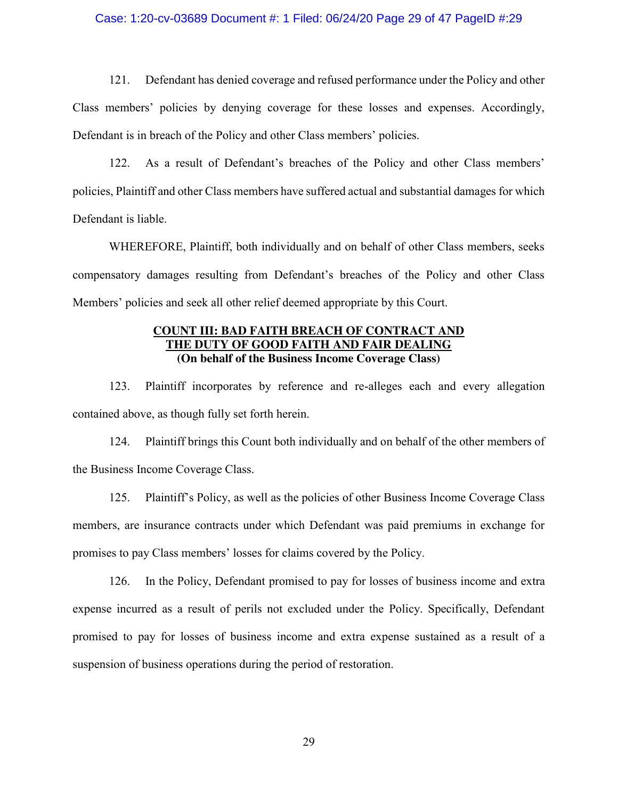#### Case: 1:20-cv-03689 Document #: 1 Filed: 06/24/20 Page 29 of 47 PageID #:29

121. Defendant has denied coverage and refused performance under the Policy and other Class members' policies by denying coverage for these losses and expenses. Accordingly, Defendant is in breach of the Policy and other Class members' policies.

122. As a result of Defendant's breaches of the Policy and other Class members' policies, Plaintiff and other Class members have suffered actual and substantial damages for which Defendant is liable.

WHEREFORE, Plaintiff, both individually and on behalf of other Class members, seeks compensatory damages resulting from Defendant's breaches of the Policy and other Class Members' policies and seek all other relief deemed appropriate by this Court.

### **COUNT III: BAD FAITH BREACH OF CONTRACT AND THE DUTY OF GOOD FAITH AND FAIR DEALING (On behalf of the Business Income Coverage Class)**

123. Plaintiff incorporates by reference and re-alleges each and every allegation contained above, as though fully set forth herein.

124. Plaintiff brings this Count both individually and on behalf of the other members of the Business Income Coverage Class.

125. Plaintiff's Policy, as well as the policies of other Business Income Coverage Class members, are insurance contracts under which Defendant was paid premiums in exchange for promises to pay Class members' losses for claims covered by the Policy.

126. In the Policy, Defendant promised to pay for losses of business income and extra expense incurred as a result of perils not excluded under the Policy. Specifically, Defendant promised to pay for losses of business income and extra expense sustained as a result of a suspension of business operations during the period of restoration.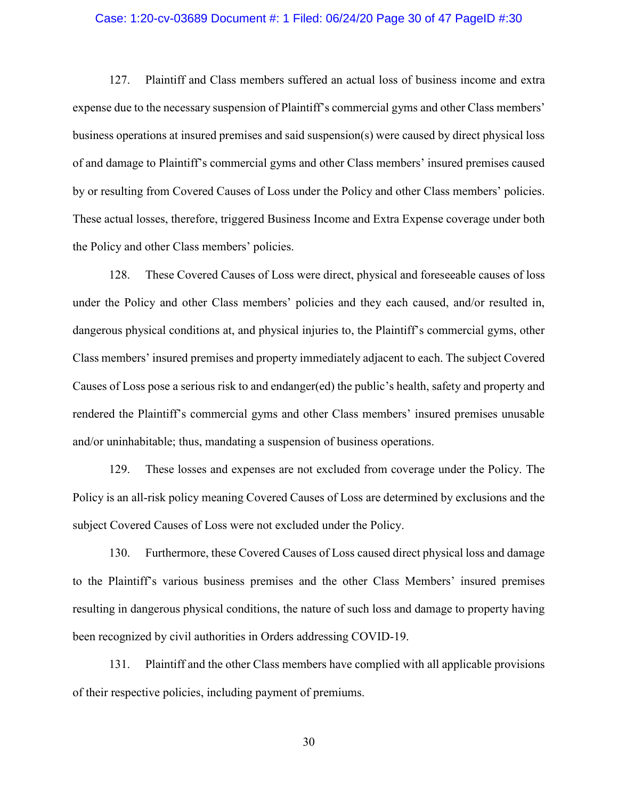#### Case: 1:20-cv-03689 Document #: 1 Filed: 06/24/20 Page 30 of 47 PageID #:30

127. Plaintiff and Class members suffered an actual loss of business income and extra expense due to the necessary suspension of Plaintiff's commercial gyms and other Class members' business operations at insured premises and said suspension(s) were caused by direct physical loss of and damage to Plaintiff's commercial gyms and other Class members' insured premises caused by or resulting from Covered Causes of Loss under the Policy and other Class members' policies. These actual losses, therefore, triggered Business Income and Extra Expense coverage under both the Policy and other Class members' policies.

128. These Covered Causes of Loss were direct, physical and foreseeable causes of loss under the Policy and other Class members' policies and they each caused, and/or resulted in, dangerous physical conditions at, and physical injuries to, the Plaintiff's commercial gyms, other Class members' insured premises and property immediately adjacent to each. The subject Covered Causes of Loss pose a serious risk to and endanger(ed) the public's health, safety and property and rendered the Plaintiff's commercial gyms and other Class members' insured premises unusable and/or uninhabitable; thus, mandating a suspension of business operations.

129. These losses and expenses are not excluded from coverage under the Policy. The Policy is an all-risk policy meaning Covered Causes of Loss are determined by exclusions and the subject Covered Causes of Loss were not excluded under the Policy.

130. Furthermore, these Covered Causes of Loss caused direct physical loss and damage to the Plaintiff's various business premises and the other Class Members' insured premises resulting in dangerous physical conditions, the nature of such loss and damage to property having been recognized by civil authorities in Orders addressing COVID-19.

131. Plaintiff and the other Class members have complied with all applicable provisions of their respective policies, including payment of premiums.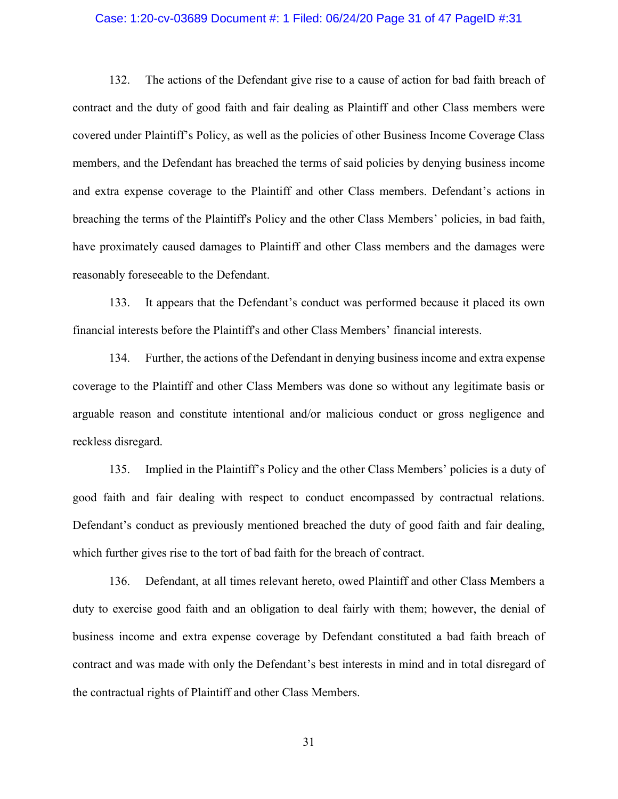#### Case: 1:20-cv-03689 Document #: 1 Filed: 06/24/20 Page 31 of 47 PageID #:31

132. The actions of the Defendant give rise to a cause of action for bad faith breach of contract and the duty of good faith and fair dealing as Plaintiff and other Class members were covered under Plaintiff's Policy, as well as the policies of other Business Income Coverage Class members, and the Defendant has breached the terms of said policies by denying business income and extra expense coverage to the Plaintiff and other Class members. Defendant's actions in breaching the terms of the Plaintiff's Policy and the other Class Members' policies, in bad faith, have proximately caused damages to Plaintiff and other Class members and the damages were reasonably foreseeable to the Defendant.

133. It appears that the Defendant's conduct was performed because it placed its own financial interests before the Plaintiff's and other Class Members' financial interests.

134. Further, the actions of the Defendant in denying business income and extra expense coverage to the Plaintiff and other Class Members was done so without any legitimate basis or arguable reason and constitute intentional and/or malicious conduct or gross negligence and reckless disregard.

135. Implied in the Plaintiff's Policy and the other Class Members' policies is a duty of good faith and fair dealing with respect to conduct encompassed by contractual relations. Defendant's conduct as previously mentioned breached the duty of good faith and fair dealing, which further gives rise to the tort of bad faith for the breach of contract.

136. Defendant, at all times relevant hereto, owed Plaintiff and other Class Members a duty to exercise good faith and an obligation to deal fairly with them; however, the denial of business income and extra expense coverage by Defendant constituted a bad faith breach of contract and was made with only the Defendant's best interests in mind and in total disregard of the contractual rights of Plaintiff and other Class Members.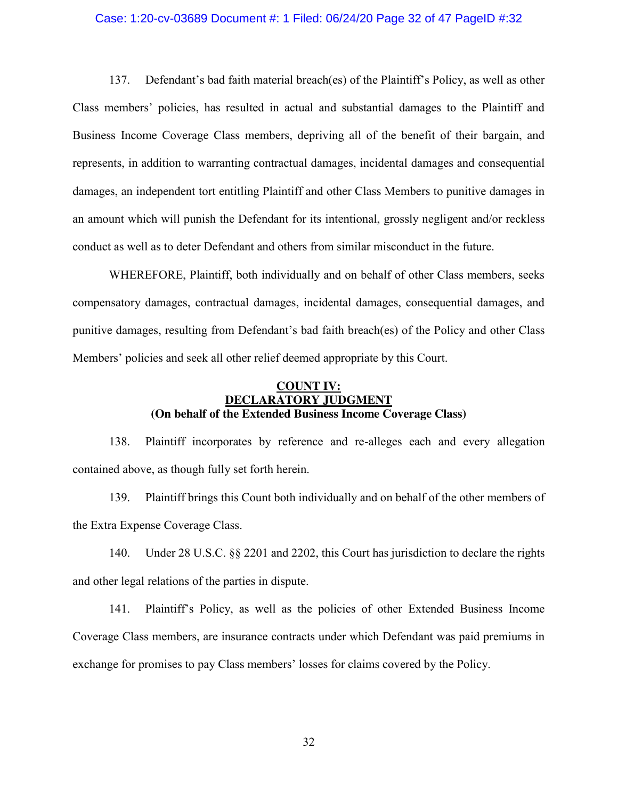#### Case: 1:20-cv-03689 Document #: 1 Filed: 06/24/20 Page 32 of 47 PageID #:32

137. Defendant's bad faith material breach(es) of the Plaintiff's Policy, as well as other Class members' policies, has resulted in actual and substantial damages to the Plaintiff and Business Income Coverage Class members, depriving all of the benefit of their bargain, and represents, in addition to warranting contractual damages, incidental damages and consequential damages, an independent tort entitling Plaintiff and other Class Members to punitive damages in an amount which will punish the Defendant for its intentional, grossly negligent and/or reckless conduct as well as to deter Defendant and others from similar misconduct in the future.

WHEREFORE, Plaintiff, both individually and on behalf of other Class members, seeks compensatory damages, contractual damages, incidental damages, consequential damages, and punitive damages, resulting from Defendant's bad faith breach(es) of the Policy and other Class Members' policies and seek all other relief deemed appropriate by this Court.

### **COUNT IV: DECLARATORY JUDGMENT (On behalf of the Extended Business Income Coverage Class)**

138. Plaintiff incorporates by reference and re-alleges each and every allegation contained above, as though fully set forth herein.

139. Plaintiff brings this Count both individually and on behalf of the other members of the Extra Expense Coverage Class.

140. Under 28 U.S.C. §§ 2201 and 2202, this Court has jurisdiction to declare the rights and other legal relations of the parties in dispute.

141. Plaintiff's Policy, as well as the policies of other Extended Business Income Coverage Class members, are insurance contracts under which Defendant was paid premiums in exchange for promises to pay Class members' losses for claims covered by the Policy.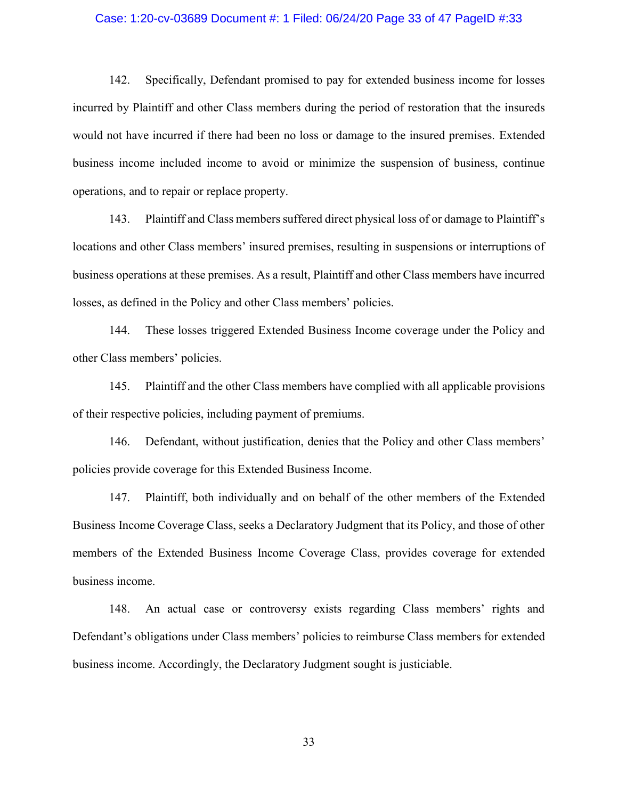#### Case: 1:20-cv-03689 Document #: 1 Filed: 06/24/20 Page 33 of 47 PageID #:33

142. Specifically, Defendant promised to pay for extended business income for losses incurred by Plaintiff and other Class members during the period of restoration that the insureds would not have incurred if there had been no loss or damage to the insured premises. Extended business income included income to avoid or minimize the suspension of business, continue operations, and to repair or replace property.

143. Plaintiff and Class members suffered direct physical loss of or damage to Plaintiff's locations and other Class members' insured premises, resulting in suspensions or interruptions of business operations at these premises. As a result, Plaintiff and other Class members have incurred losses, as defined in the Policy and other Class members' policies.

144. These losses triggered Extended Business Income coverage under the Policy and other Class members' policies.

145. Plaintiff and the other Class members have complied with all applicable provisions of their respective policies, including payment of premiums.

146. Defendant, without justification, denies that the Policy and other Class members' policies provide coverage for this Extended Business Income.

147. Plaintiff, both individually and on behalf of the other members of the Extended Business Income Coverage Class, seeks a Declaratory Judgment that its Policy, and those of other members of the Extended Business Income Coverage Class, provides coverage for extended business income.

148. An actual case or controversy exists regarding Class members' rights and Defendant's obligations under Class members' policies to reimburse Class members for extended business income. Accordingly, the Declaratory Judgment sought is justiciable.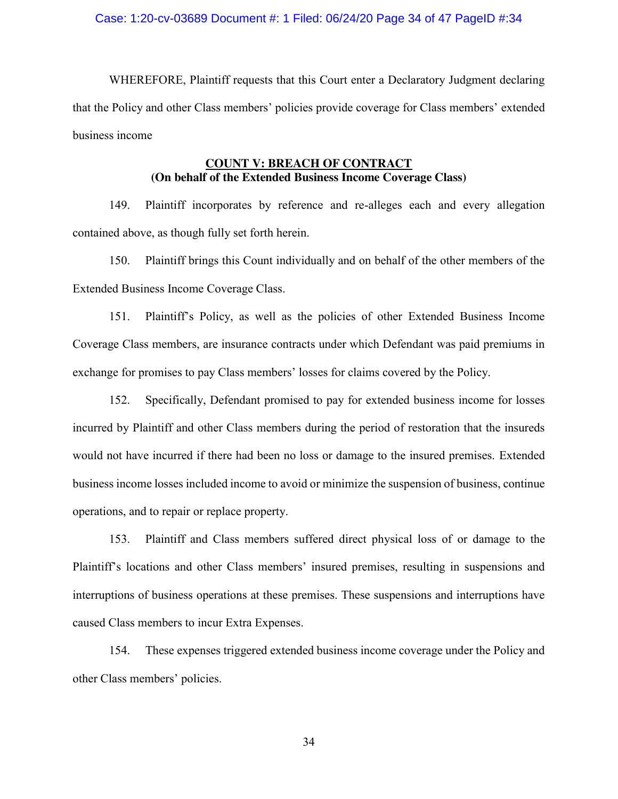#### Case: 1:20-cv-03689 Document #: 1 Filed: 06/24/20 Page 34 of 47 PageID #:34

WHEREFORE, Plaintiff requests that this Court enter a Declaratory Judgment declaring that the Policy and other Class members' policies provide coverage for Class members' extended business income

## **COUNT V: BREACH OF CONTRACT (On behalf of the Extended Business Income Coverage Class)**

149. Plaintiff incorporates by reference and re-alleges each and every allegation contained above, as though fully set forth herein.

150. Plaintiff brings this Count individually and on behalf of the other members of the Extended Business Income Coverage Class.

151. Plaintiff's Policy, as well as the policies of other Extended Business Income Coverage Class members, are insurance contracts under which Defendant was paid premiums in exchange for promises to pay Class members' losses for claims covered by the Policy.

152. Specifically, Defendant promised to pay for extended business income for losses incurred by Plaintiff and other Class members during the period of restoration that the insureds would not have incurred if there had been no loss or damage to the insured premises. Extended business income losses included income to avoid or minimize the suspension of business, continue operations, and to repair or replace property.

153. Plaintiff and Class members suffered direct physical loss of or damage to the Plaintiff's locations and other Class members' insured premises, resulting in suspensions and interruptions of business operations at these premises. These suspensions and interruptions have caused Class members to incur Extra Expenses.

154. These expenses triggered extended business income coverage under the Policy and other Class members' policies.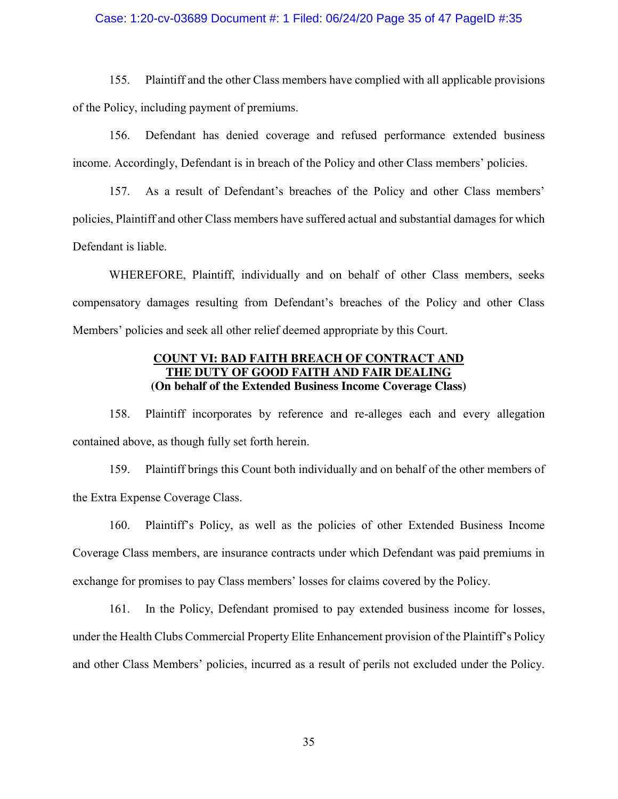#### Case: 1:20-cv-03689 Document #: 1 Filed: 06/24/20 Page 35 of 47 PageID #:35

155. Plaintiff and the other Class members have complied with all applicable provisions of the Policy, including payment of premiums.

156. Defendant has denied coverage and refused performance extended business income. Accordingly, Defendant is in breach of the Policy and other Class members' policies.

157. As a result of Defendant's breaches of the Policy and other Class members' policies, Plaintiff and other Class members have suffered actual and substantial damages for which Defendant is liable.

WHEREFORE, Plaintiff, individually and on behalf of other Class members, seeks compensatory damages resulting from Defendant's breaches of the Policy and other Class Members' policies and seek all other relief deemed appropriate by this Court.

### **COUNT VI: BAD FAITH BREACH OF CONTRACT AND E DUTY OF GOOD FAITH AND FAIR DEALING (On behalf of the Extended Business Income Coverage Class)**

158. Plaintiff incorporates by reference and re-alleges each and every allegation contained above, as though fully set forth herein.

159. Plaintiff brings this Count both individually and on behalf of the other members of the Extra Expense Coverage Class.

160. Plaintiff's Policy, as well as the policies of other Extended Business Income Coverage Class members, are insurance contracts under which Defendant was paid premiums in exchange for promises to pay Class members' losses for claims covered by the Policy.

161. In the Policy, Defendant promised to pay extended business income for losses, under the Health Clubs Commercial Property Elite Enhancement provision of the Plaintiff's Policy and other Class Members' policies, incurred as a result of perils not excluded under the Policy.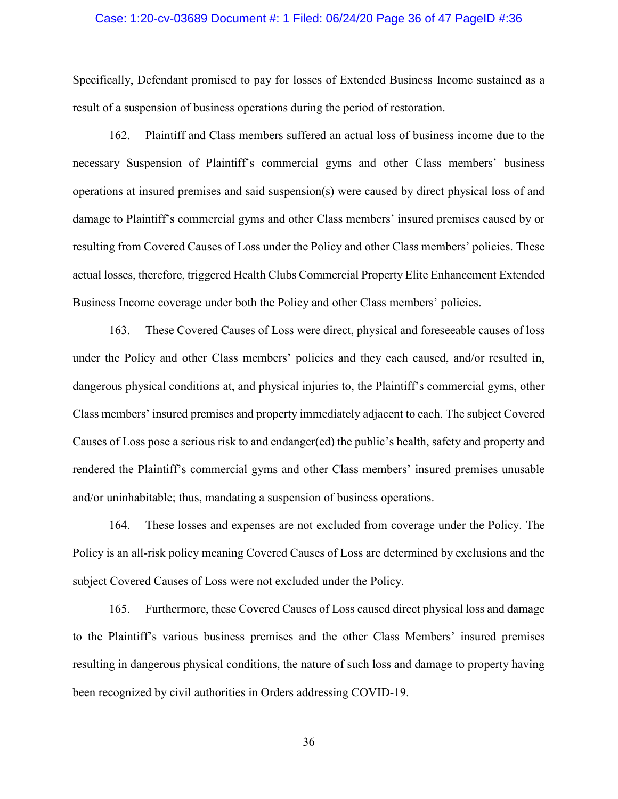#### Case: 1:20-cv-03689 Document #: 1 Filed: 06/24/20 Page 36 of 47 PageID #:36

Specifically, Defendant promised to pay for losses of Extended Business Income sustained as a result of a suspension of business operations during the period of restoration.

162. Plaintiff and Class members suffered an actual loss of business income due to the necessary Suspension of Plaintiff's commercial gyms and other Class members' business operations at insured premises and said suspension(s) were caused by direct physical loss of and damage to Plaintiff's commercial gyms and other Class members' insured premises caused by or resulting from Covered Causes of Loss under the Policy and other Class members' policies. These actual losses, therefore, triggered Health Clubs Commercial Property Elite Enhancement Extended Business Income coverage under both the Policy and other Class members' policies.

163. These Covered Causes of Loss were direct, physical and foreseeable causes of loss under the Policy and other Class members' policies and they each caused, and/or resulted in, dangerous physical conditions at, and physical injuries to, the Plaintiff's commercial gyms, other Class members' insured premises and property immediately adjacent to each. The subject Covered Causes of Loss pose a serious risk to and endanger(ed) the public's health, safety and property and rendered the Plaintiff's commercial gyms and other Class members' insured premises unusable and/or uninhabitable; thus, mandating a suspension of business operations.

164. These losses and expenses are not excluded from coverage under the Policy. The Policy is an all-risk policy meaning Covered Causes of Loss are determined by exclusions and the subject Covered Causes of Loss were not excluded under the Policy.

165. Furthermore, these Covered Causes of Loss caused direct physical loss and damage to the Plaintiff's various business premises and the other Class Members' insured premises resulting in dangerous physical conditions, the nature of such loss and damage to property having been recognized by civil authorities in Orders addressing COVID-19.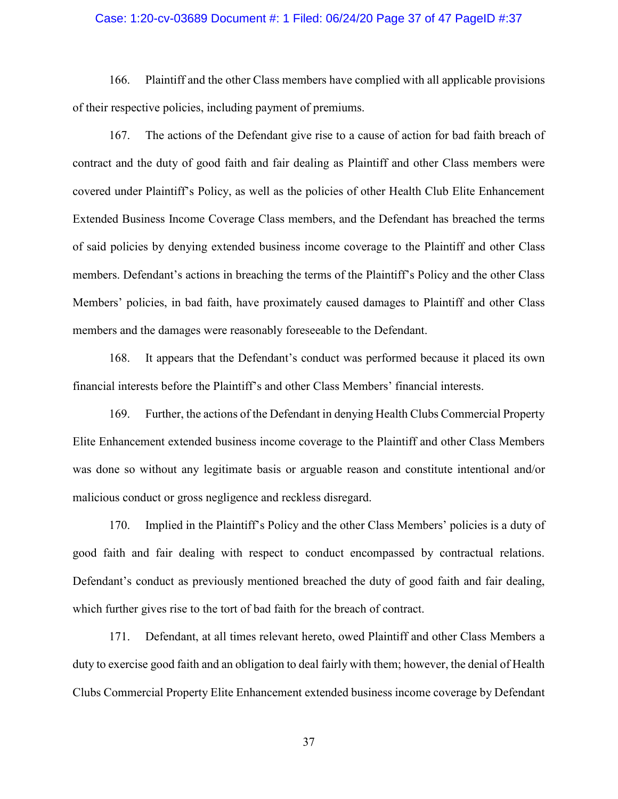#### Case: 1:20-cv-03689 Document #: 1 Filed: 06/24/20 Page 37 of 47 PageID #:37

166. Plaintiff and the other Class members have complied with all applicable provisions of their respective policies, including payment of premiums.

167. The actions of the Defendant give rise to a cause of action for bad faith breach of contract and the duty of good faith and fair dealing as Plaintiff and other Class members were covered under Plaintiff's Policy, as well as the policies of other Health Club Elite Enhancement Extended Business Income Coverage Class members, and the Defendant has breached the terms of said policies by denying extended business income coverage to the Plaintiff and other Class members. Defendant's actions in breaching the terms of the Plaintiff's Policy and the other Class Members' policies, in bad faith, have proximately caused damages to Plaintiff and other Class members and the damages were reasonably foreseeable to the Defendant.

168. It appears that the Defendant's conduct was performed because it placed its own financial interests before the Plaintiff's and other Class Members' financial interests.

169. Further, the actions of the Defendant in denying Health Clubs Commercial Property Elite Enhancement extended business income coverage to the Plaintiff and other Class Members was done so without any legitimate basis or arguable reason and constitute intentional and/or malicious conduct or gross negligence and reckless disregard.

170. Implied in the Plaintiff's Policy and the other Class Members' policies is a duty of good faith and fair dealing with respect to conduct encompassed by contractual relations. Defendant's conduct as previously mentioned breached the duty of good faith and fair dealing, which further gives rise to the tort of bad faith for the breach of contract.

171. Defendant, at all times relevant hereto, owed Plaintiff and other Class Members a duty to exercise good faith and an obligation to deal fairly with them; however, the denial of Health Clubs Commercial Property Elite Enhancement extended business income coverage by Defendant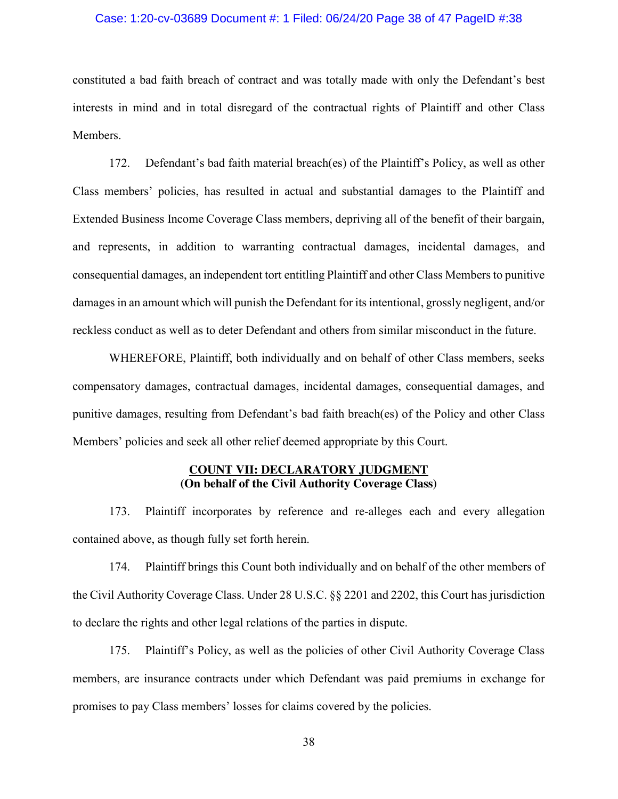#### Case: 1:20-cv-03689 Document #: 1 Filed: 06/24/20 Page 38 of 47 PageID #:38

constituted a bad faith breach of contract and was totally made with only the Defendant's best interests in mind and in total disregard of the contractual rights of Plaintiff and other Class Members.

172. Defendant's bad faith material breach(es) of the Plaintiff's Policy, as well as other Class members' policies, has resulted in actual and substantial damages to the Plaintiff and Extended Business Income Coverage Class members, depriving all of the benefit of their bargain, and represents, in addition to warranting contractual damages, incidental damages, and consequential damages, an independent tort entitling Plaintiff and other Class Members to punitive damages in an amount which will punish the Defendant for its intentional, grossly negligent, and/or reckless conduct as well as to deter Defendant and others from similar misconduct in the future.

WHEREFORE, Plaintiff, both individually and on behalf of other Class members, seeks compensatory damages, contractual damages, incidental damages, consequential damages, and punitive damages, resulting from Defendant's bad faith breach(es) of the Policy and other Class Members' policies and seek all other relief deemed appropriate by this Court.

### **COUNT VII: DECLARATORY JUDGMENT (On behalf of the Civil Authority Coverage Class)**

173. Plaintiff incorporates by reference and re-alleges each and every allegation contained above, as though fully set forth herein.

174. Plaintiff brings this Count both individually and on behalf of the other members of the Civil Authority Coverage Class. Under 28 U.S.C. §§ 2201 and 2202, this Court has jurisdiction to declare the rights and other legal relations of the parties in dispute.

175. Plaintiff's Policy, as well as the policies of other Civil Authority Coverage Class members, are insurance contracts under which Defendant was paid premiums in exchange for promises to pay Class members' losses for claims covered by the policies.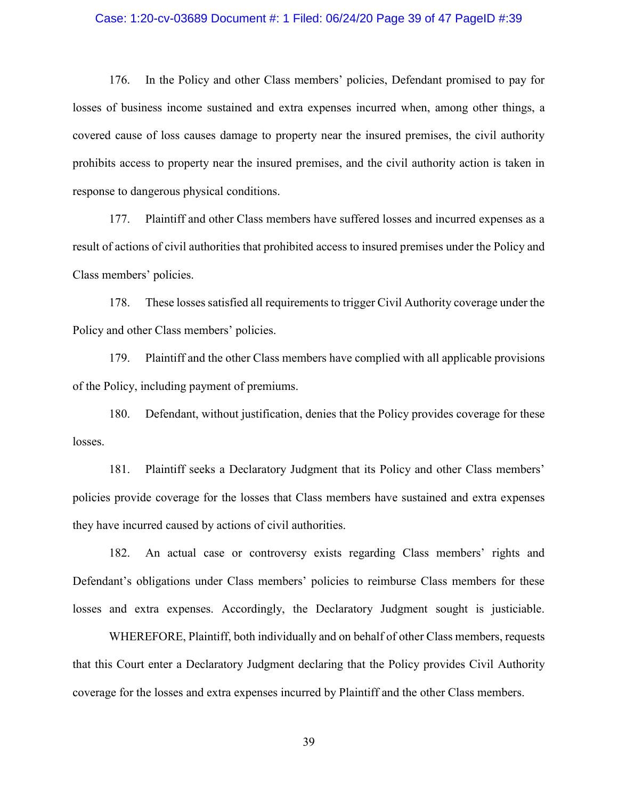#### Case: 1:20-cv-03689 Document #: 1 Filed: 06/24/20 Page 39 of 47 PageID #:39

176. In the Policy and other Class members' policies, Defendant promised to pay for losses of business income sustained and extra expenses incurred when, among other things, a covered cause of loss causes damage to property near the insured premises, the civil authority prohibits access to property near the insured premises, and the civil authority action is taken in response to dangerous physical conditions.

177. Plaintiff and other Class members have suffered losses and incurred expenses as a result of actions of civil authorities that prohibited access to insured premises under the Policy and Class members' policies.

178. These losses satisfied all requirements to trigger Civil Authority coverage under the Policy and other Class members' policies.

179. Plaintiff and the other Class members have complied with all applicable provisions of the Policy, including payment of premiums.

180. Defendant, without justification, denies that the Policy provides coverage for these losses.

181. Plaintiff seeks a Declaratory Judgment that its Policy and other Class members' policies provide coverage for the losses that Class members have sustained and extra expenses they have incurred caused by actions of civil authorities.

182. An actual case or controversy exists regarding Class members' rights and Defendant's obligations under Class members' policies to reimburse Class members for these losses and extra expenses. Accordingly, the Declaratory Judgment sought is justiciable.

WHEREFORE, Plaintiff, both individually and on behalf of other Class members, requests that this Court enter a Declaratory Judgment declaring that the Policy provides Civil Authority coverage for the losses and extra expenses incurred by Plaintiff and the other Class members.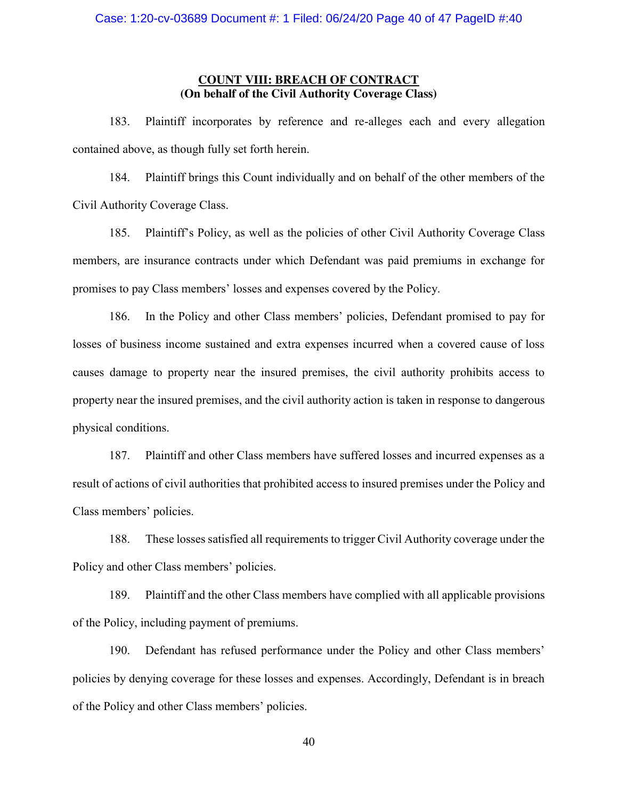### **COUNT VIII: BREACH OF CONTRACT (On behalf of the Civil Authority Coverage Class)**

183. Plaintiff incorporates by reference and re-alleges each and every allegation contained above, as though fully set forth herein.

184. Plaintiff brings this Count individually and on behalf of the other members of the Civil Authority Coverage Class.

185. Plaintiff's Policy, as well as the policies of other Civil Authority Coverage Class members, are insurance contracts under which Defendant was paid premiums in exchange for promises to pay Class members' losses and expenses covered by the Policy.

186. In the Policy and other Class members' policies, Defendant promised to pay for losses of business income sustained and extra expenses incurred when a covered cause of loss causes damage to property near the insured premises, the civil authority prohibits access to property near the insured premises, and the civil authority action is taken in response to dangerous physical conditions.

187. Plaintiff and other Class members have suffered losses and incurred expenses as a result of actions of civil authorities that prohibited access to insured premises under the Policy and Class members' policies.

188. These losses satisfied all requirements to trigger Civil Authority coverage under the Policy and other Class members' policies.

189. Plaintiff and the other Class members have complied with all applicable provisions of the Policy, including payment of premiums.

190. Defendant has refused performance under the Policy and other Class members' policies by denying coverage for these losses and expenses. Accordingly, Defendant is in breach of the Policy and other Class members' policies.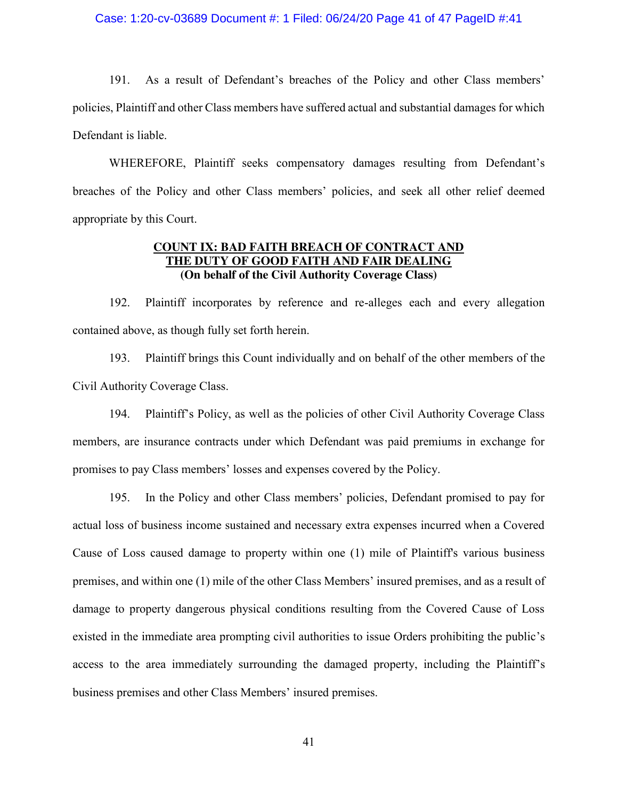#### Case: 1:20-cv-03689 Document #: 1 Filed: 06/24/20 Page 41 of 47 PageID #:41

191. As a result of Defendant's breaches of the Policy and other Class members' policies, Plaintiff and other Class members have suffered actual and substantial damages for which Defendant is liable.

WHEREFORE, Plaintiff seeks compensatory damages resulting from Defendant's breaches of the Policy and other Class members' policies, and seek all other relief deemed appropriate by this Court.

### **COUNT IX: BAD FAITH BREACH OF CONTRACT AND THE DUTY OF GOOD FAITH AND FAIR DEALING (On behalf of the Civil Authority Coverage Class)**

192. Plaintiff incorporates by reference and re-alleges each and every allegation contained above, as though fully set forth herein.

193. Plaintiff brings this Count individually and on behalf of the other members of the Civil Authority Coverage Class.

194. Plaintiff's Policy, as well as the policies of other Civil Authority Coverage Class members, are insurance contracts under which Defendant was paid premiums in exchange for promises to pay Class members' losses and expenses covered by the Policy.

195. In the Policy and other Class members' policies, Defendant promised to pay for actual loss of business income sustained and necessary extra expenses incurred when a Covered Cause of Loss caused damage to property within one (1) mile of Plaintiff's various business premises, and within one (1) mile of the other Class Members' insured premises, and as a result of damage to property dangerous physical conditions resulting from the Covered Cause of Loss existed in the immediate area prompting civil authorities to issue Orders prohibiting the public's access to the area immediately surrounding the damaged property, including the Plaintiff's business premises and other Class Members' insured premises.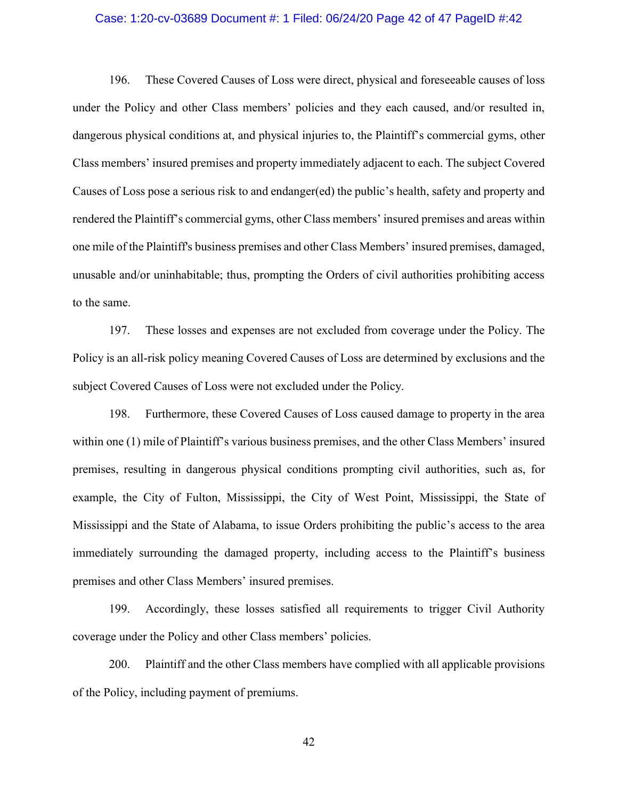#### Case: 1:20-cv-03689 Document #: 1 Filed: 06/24/20 Page 42 of 47 PageID #:42

196. These Covered Causes of Loss were direct, physical and foreseeable causes of loss under the Policy and other Class members' policies and they each caused, and/or resulted in, dangerous physical conditions at, and physical injuries to, the Plaintiff's commercial gyms, other Class members' insured premises and property immediately adjacent to each. The subject Covered Causes of Loss pose a serious risk to and endanger(ed) the public's health, safety and property and rendered the Plaintiff's commercial gyms, other Class members' insured premises and areas within one mile of the Plaintiff's business premises and other Class Members' insured premises, damaged, unusable and/or uninhabitable; thus, prompting the Orders of civil authorities prohibiting access to the same.

197. These losses and expenses are not excluded from coverage under the Policy. The Policy is an all-risk policy meaning Covered Causes of Loss are determined by exclusions and the subject Covered Causes of Loss were not excluded under the Policy.

198. Furthermore, these Covered Causes of Loss caused damage to property in the area within one (1) mile of Plaintiff's various business premises, and the other Class Members' insured premises, resulting in dangerous physical conditions prompting civil authorities, such as, for example, the City of Fulton, Mississippi, the City of West Point, Mississippi, the State of Mississippi and the State of Alabama, to issue Orders prohibiting the public's access to the area immediately surrounding the damaged property, including access to the Plaintiff's business premises and other Class Members' insured premises.

199. Accordingly, these losses satisfied all requirements to trigger Civil Authority coverage under the Policy and other Class members' policies.

200. Plaintiff and the other Class members have complied with all applicable provisions of the Policy, including payment of premiums.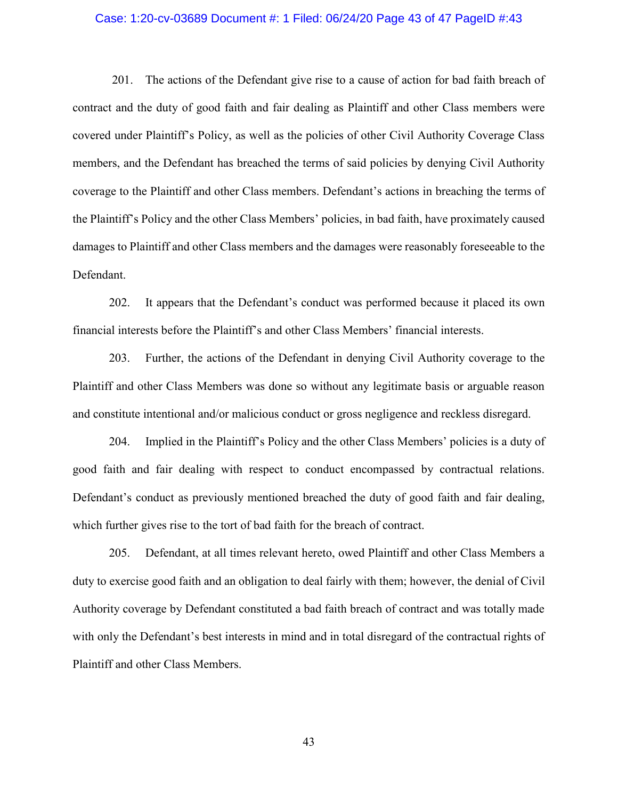#### Case: 1:20-cv-03689 Document #: 1 Filed: 06/24/20 Page 43 of 47 PageID #:43

201. The actions of the Defendant give rise to a cause of action for bad faith breach of contract and the duty of good faith and fair dealing as Plaintiff and other Class members were covered under Plaintiff's Policy, as well as the policies of other Civil Authority Coverage Class members, and the Defendant has breached the terms of said policies by denying Civil Authority coverage to the Plaintiff and other Class members. Defendant's actions in breaching the terms of the Plaintiff's Policy and the other Class Members' policies, in bad faith, have proximately caused damages to Plaintiff and other Class members and the damages were reasonably foreseeable to the Defendant.

202. It appears that the Defendant's conduct was performed because it placed its own financial interests before the Plaintiff's and other Class Members' financial interests.

203. Further, the actions of the Defendant in denying Civil Authority coverage to the Plaintiff and other Class Members was done so without any legitimate basis or arguable reason and constitute intentional and/or malicious conduct or gross negligence and reckless disregard.

204. Implied in the Plaintiff's Policy and the other Class Members' policies is a duty of good faith and fair dealing with respect to conduct encompassed by contractual relations. Defendant's conduct as previously mentioned breached the duty of good faith and fair dealing, which further gives rise to the tort of bad faith for the breach of contract.

205. Defendant, at all times relevant hereto, owed Plaintiff and other Class Members a duty to exercise good faith and an obligation to deal fairly with them; however, the denial of Civil Authority coverage by Defendant constituted a bad faith breach of contract and was totally made with only the Defendant's best interests in mind and in total disregard of the contractual rights of Plaintiff and other Class Members.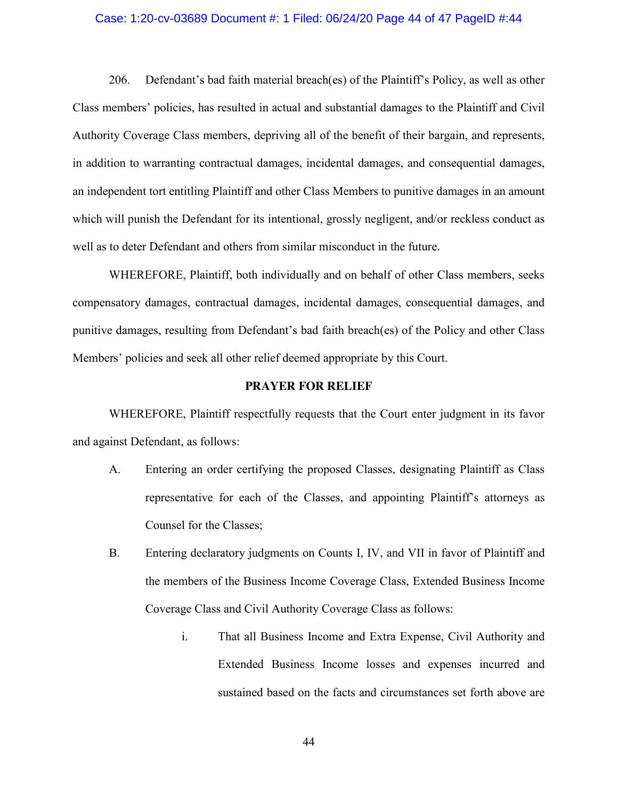#### Case: 1:20-cv-03689 Document #: 1 Filed: 06/24/20 Page 44 of 47 PageID #:44

206. Defendant's bad faith material breach(es) of the Plaintiff's Policy, as well as other Class members' policies, has resulted in actual and substantial damages to the Plaintiff and Civil Authority Coverage Class members, depriving all of the benefit of their bargain, and represents, in addition to warranting contractual damages, incidental damages, and consequential damages, an independent tort entitling Plaintiff and other Class Members to punitive damages in an amount which will punish the Defendant for its intentional, grossly negligent, and/or reckless conduct as well as to deter Defendant and others from similar misconduct in the future.

WHEREFORE, Plaintiff, both individually and on behalf of other Class members, seeks compensatory damages, contractual damages, incidental damages, consequential damages, and punitive damages, resulting from Defendant's bad faith breach(es) of the Policy and other Class Members' policies and seek all other relief deemed appropriate by this Court.

#### **PRAYER FOR RELIEF**

WHEREFORE, Plaintiff respectfully requests that the Court enter judgment in its favor and against Defendant, as follows:

- A. Entering an order certifying the proposed Classes, designating Plaintiff as Class representative for each of the Classes, and appointing Plaintiff's attorneys as Counsel for the Classes;
- B. Entering declaratory judgments on Counts I, IV, and VII in favor of Plaintiff and the members of the Business Income Coverage Class, Extended Business Income Coverage Class and Civil Authority Coverage Class as follows:
	- i. That all Business Income and Extra Expense, Civil Authority and Extended Business Income losses and expenses incurred and sustained based on the facts and circumstances set forth above are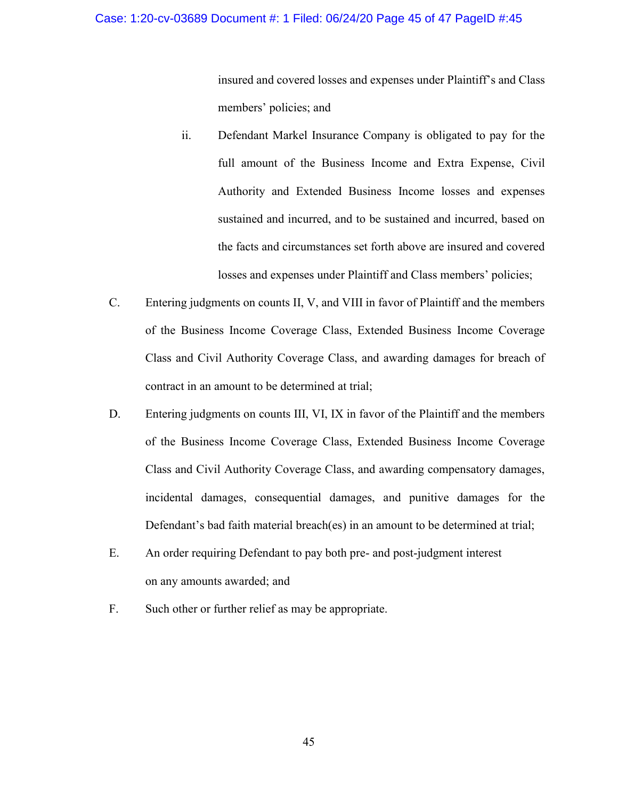#### Case: 1:20-cv-03689 Document #: 1 Filed: 06/24/20 Page 45 of 47 PageID #:45

insured and covered losses and expenses under Plaintiff's and Class members' policies; and

- ii. Defendant Markel Insurance Company is obligated to pay for the full amount of the Business Income and Extra Expense, Civil Authority and Extended Business Income losses and expenses sustained and incurred, and to be sustained and incurred, based on the facts and circumstances set forth above are insured and covered losses and expenses under Plaintiff and Class members' policies;
- C. Entering judgments on counts II, V, and VIII in favor of Plaintiff and the members of the Business Income Coverage Class, Extended Business Income Coverage Class and Civil Authority Coverage Class, and awarding damages for breach of contract in an amount to be determined at trial;
- D. Entering judgments on counts III, VI, IX in favor of the Plaintiff and the members of the Business Income Coverage Class, Extended Business Income Coverage Class and Civil Authority Coverage Class, and awarding compensatory damages, incidental damages, consequential damages, and punitive damages for the Defendant's bad faith material breach(es) in an amount to be determined at trial;
- E. An order requiring Defendant to pay both pre- and post-judgment interest on any amounts awarded; and
- F. Such other or further relief as may be appropriate.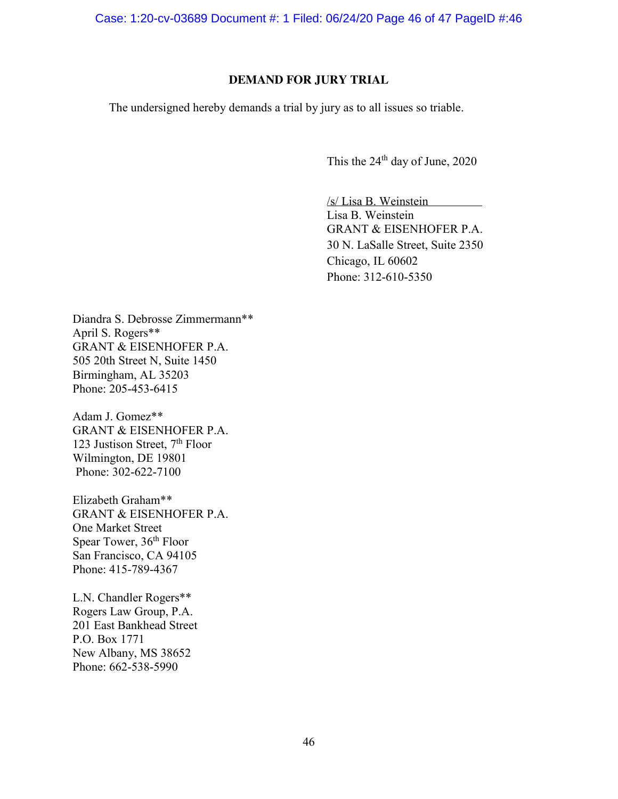Case: 1:20-cv-03689 Document #: 1 Filed: 06/24/20 Page 46 of 47 PageID #:46

### **DEMAND FOR JURY TRIAL**

The undersigned hereby demands a trial by jury as to all issues so triable.

This the  $24<sup>th</sup>$  day of June, 2020

/s/ Lisa B. Weinstein Lisa B. Weinstein GRANT & EISENHOFER P.A. 30 N. LaSalle Street, Suite 2350 Chicago, IL 60602 Phone: 312-610-5350

Diandra S. Debrosse Zimmermann\*\* April S. Rogers\*\* GRANT & EISENHOFER P.A. 505 20th Street N, Suite 1450 Birmingham, AL 35203 Phone: 205-453-6415

Adam J. Gomez\*\* GRANT & EISENHOFER P.A. 123 Justison Street,  $7<sup>th</sup>$  Floor Wilmington, DE 19801 Phone: 302-622-7100

Elizabeth Graham\*\* GRANT & EISENHOFER P.A. One Market Street Spear Tower, 36<sup>th</sup> Floor San Francisco, CA 94105 Phone: 415-789-4367

L.N. Chandler Rogers\*\* Rogers Law Group, P.A. 201 East Bankhead Street P.O. Box 1771 New Albany, MS 38652 Phone: 662-538-5990